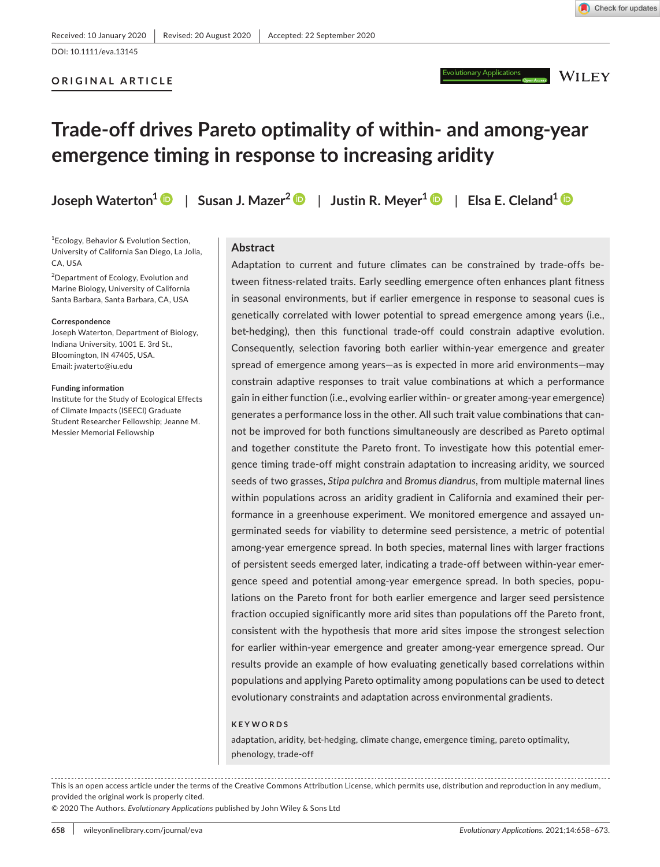ary Applications

**WILEY** 

# **Trade-off drives Pareto optimality of within- and among-year emergence timing in response to increasing aridity**

**Joseph Waterton1** | **Susan J. Mazer[2](https://orcid.org/0000-0001-8080-388X)** | **Justin R. Meyer1** | **Elsa E. Cleland1**

1 Ecology, Behavior & Evolution Section, University of California San Diego, La Jolla, CA, USA

<sup>2</sup>Department of Ecology, Evolution and Marine Biology, University of California Santa Barbara, Santa Barbara, CA, USA

#### **Correspondence**

Joseph Waterton, Department of Biology, Indiana University, 1001 E. 3rd St., Bloomington, IN 47405, USA. Email: [jwaterto@iu.edu](mailto:jwaterto@iu.edu)

#### **Funding information**

Institute for the Study of Ecological Effects of Climate Impacts (ISEECI) Graduate Student Researcher Fellowship; Jeanne M. Messier Memorial Fellowship

#### **Abstract**

Adaptation to current and future climates can be constrained by trade-offs between fitness-related traits. Early seedling emergence often enhances plant fitness in seasonal environments, but if earlier emergence in response to seasonal cues is genetically correlated with lower potential to spread emergence among years (i.e., bet-hedging), then this functional trade-off could constrain adaptive evolution. Consequently, selection favoring both earlier within-year emergence and greater spread of emergence among years—as is expected in more arid environments—may constrain adaptive responses to trait value combinations at which a performance gain in either function (i.e., evolving earlier within- or greater among-year emergence) generates a performance loss in the other. All such trait value combinations that cannot be improved for both functions simultaneously are described as Pareto optimal and together constitute the Pareto front. To investigate how this potential emergence timing trade-off might constrain adaptation to increasing aridity, we sourced seeds of two grasses, *Stipa pulchra* and *Bromus diandrus*, from multiple maternal lines within populations across an aridity gradient in California and examined their performance in a greenhouse experiment. We monitored emergence and assayed ungerminated seeds for viability to determine seed persistence, a metric of potential among-year emergence spread. In both species, maternal lines with larger fractions of persistent seeds emerged later, indicating a trade-off between within-year emergence speed and potential among-year emergence spread. In both species, populations on the Pareto front for both earlier emergence and larger seed persistence fraction occupied significantly more arid sites than populations off the Pareto front, consistent with the hypothesis that more arid sites impose the strongest selection for earlier within-year emergence and greater among-year emergence spread. Our results provide an example of how evaluating genetically based correlations within populations and applying Pareto optimality among populations can be used to detect evolutionary constraints and adaptation across environmental gradients.

#### **KEYWORDS**

adaptation, aridity, bet-hedging, climate change, emergence timing, pareto optimality, phenology, trade-off

This is an open access article under the terms of the [Creative Commons Attribution](http://creativecommons.org/licenses/by/4.0/) License, which permits use, distribution and reproduction in any medium, provided the original work is properly cited.

© 2020 The Authors. *Evolutionary Applications* published by John Wiley & Sons Ltd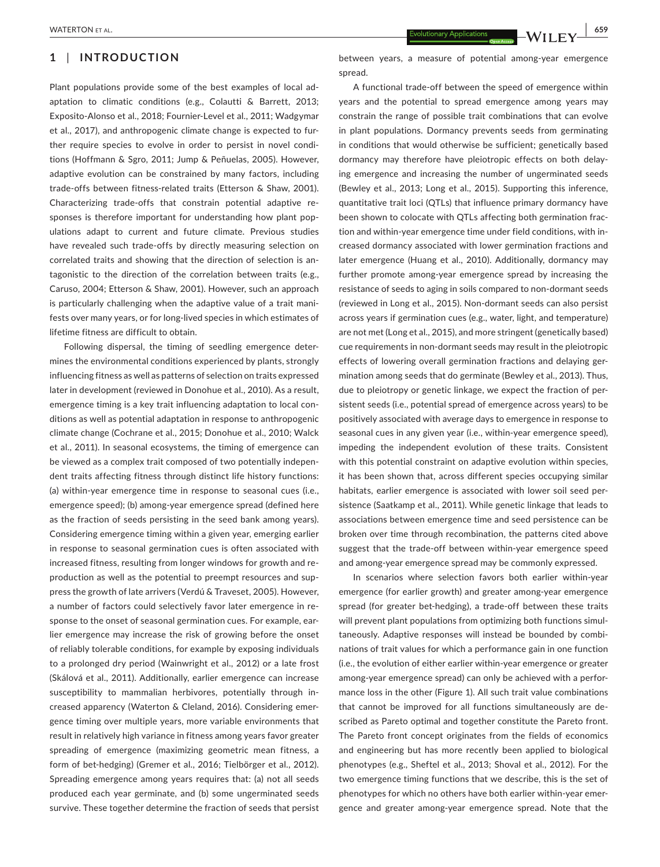# **1** | **INTRODUCTION**

Plant populations provide some of the best examples of local adaptation to climatic conditions (e.g., Colautti & Barrett, 2013; Exposito-Alonso et al., 2018; Fournier-Level et al., 2011; Wadgymar et al., 2017), and anthropogenic climate change is expected to further require species to evolve in order to persist in novel conditions (Hoffmann & Sgro, 2011; Jump & Peñuelas, 2005). However, adaptive evolution can be constrained by many factors, including trade-offs between fitness-related traits (Etterson & Shaw, 2001). Characterizing trade-offs that constrain potential adaptive responses is therefore important for understanding how plant populations adapt to current and future climate. Previous studies have revealed such trade-offs by directly measuring selection on correlated traits and showing that the direction of selection is antagonistic to the direction of the correlation between traits (e.g., Caruso, 2004; Etterson & Shaw, 2001). However, such an approach is particularly challenging when the adaptive value of a trait manifests over many years, or for long-lived species in which estimates of lifetime fitness are difficult to obtain.

Following dispersal, the timing of seedling emergence determines the environmental conditions experienced by plants, strongly influencing fitness as well as patterns of selection on traits expressed later in development (reviewed in Donohue et al., 2010). As a result, emergence timing is a key trait influencing adaptation to local conditions as well as potential adaptation in response to anthropogenic climate change (Cochrane et al., 2015; Donohue et al., 2010; Walck et al., 2011). In seasonal ecosystems, the timing of emergence can be viewed as a complex trait composed of two potentially independent traits affecting fitness through distinct life history functions: (a) within-year emergence time in response to seasonal cues (i.e., emergence speed); (b) among-year emergence spread (defined here as the fraction of seeds persisting in the seed bank among years). Considering emergence timing within a given year, emerging earlier in response to seasonal germination cues is often associated with increased fitness, resulting from longer windows for growth and reproduction as well as the potential to preempt resources and suppress the growth of late arrivers (Verdú & Traveset, 2005). However, a number of factors could selectively favor later emergence in response to the onset of seasonal germination cues. For example, earlier emergence may increase the risk of growing before the onset of reliably tolerable conditions, for example by exposing individuals to a prolonged dry period (Wainwright et al., 2012) or a late frost (Skálová et al., 2011). Additionally, earlier emergence can increase susceptibility to mammalian herbivores, potentially through increased apparency (Waterton & Cleland, 2016). Considering emergence timing over multiple years, more variable environments that result in relatively high variance in fitness among years favor greater spreading of emergence (maximizing geometric mean fitness, a form of bet-hedging) (Gremer et al., 2016; Tielbörger et al., 2012). Spreading emergence among years requires that: (a) not all seeds produced each year germinate, and (b) some ungerminated seeds survive. These together determine the fraction of seeds that persist

between years, a measure of potential among-year emergence spread.

A functional trade-off between the speed of emergence within years and the potential to spread emergence among years may constrain the range of possible trait combinations that can evolve in plant populations. Dormancy prevents seeds from germinating in conditions that would otherwise be sufficient; genetically based dormancy may therefore have pleiotropic effects on both delaying emergence and increasing the number of ungerminated seeds (Bewley et al., 2013; Long et al., 2015). Supporting this inference, quantitative trait loci (QTLs) that influence primary dormancy have been shown to colocate with QTLs affecting both germination fraction and within-year emergence time under field conditions, with increased dormancy associated with lower germination fractions and later emergence (Huang et al., 2010). Additionally, dormancy may further promote among-year emergence spread by increasing the resistance of seeds to aging in soils compared to non-dormant seeds (reviewed in Long et al., 2015). Non-dormant seeds can also persist across years if germination cues (e.g., water, light, and temperature) are not met (Long et al., 2015), and more stringent (genetically based) cue requirements in non-dormant seeds may result in the pleiotropic effects of lowering overall germination fractions and delaying germination among seeds that do germinate (Bewley et al., 2013). Thus, due to pleiotropy or genetic linkage, we expect the fraction of persistent seeds (i.e., potential spread of emergence across years) to be positively associated with average days to emergence in response to seasonal cues in any given year (i.e., within-year emergence speed), impeding the independent evolution of these traits. Consistent with this potential constraint on adaptive evolution within species, it has been shown that, across different species occupying similar habitats, earlier emergence is associated with lower soil seed persistence (Saatkamp et al., 2011). While genetic linkage that leads to associations between emergence time and seed persistence can be broken over time through recombination, the patterns cited above suggest that the trade-off between within-year emergence speed and among-year emergence spread may be commonly expressed.

In scenarios where selection favors both earlier within-year emergence (for earlier growth) and greater among-year emergence spread (for greater bet-hedging), a trade-off between these traits will prevent plant populations from optimizing both functions simultaneously. Adaptive responses will instead be bounded by combinations of trait values for which a performance gain in one function (i.e., the evolution of either earlier within-year emergence or greater among-year emergence spread) can only be achieved with a performance loss in the other (Figure 1). All such trait value combinations that cannot be improved for all functions simultaneously are described as Pareto optimal and together constitute the Pareto front. The Pareto front concept originates from the fields of economics and engineering but has more recently been applied to biological phenotypes (e.g., Sheftel et al., 2013; Shoval et al., 2012). For the two emergence timing functions that we describe, this is the set of phenotypes for which no others have both earlier within-year emergence and greater among-year emergence spread. Note that the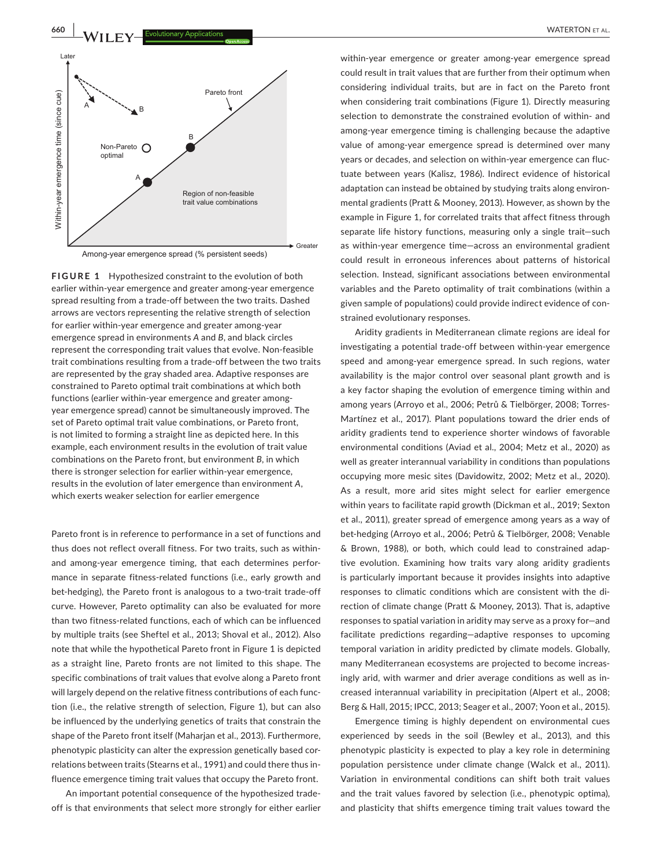

Among-year emergence spread (% persistent seeds)

**FIGURE 1** Hypothesized constraint to the evolution of both earlier within-year emergence and greater among-year emergence spread resulting from a trade-off between the two traits. Dashed arrows are vectors representing the relative strength of selection for earlier within-year emergence and greater among-year emergence spread in environments *A* and *B*, and black circles represent the corresponding trait values that evolve. Non-feasible trait combinations resulting from a trade-off between the two traits are represented by the gray shaded area. Adaptive responses are constrained to Pareto optimal trait combinations at which both functions (earlier within-year emergence and greater amongyear emergence spread) cannot be simultaneously improved. The set of Pareto optimal trait value combinations, or Pareto front, is not limited to forming a straight line as depicted here. In this example, each environment results in the evolution of trait value combinations on the Pareto front, but environment *B*, in which there is stronger selection for earlier within-year emergence, results in the evolution of later emergence than environment *A*, which exerts weaker selection for earlier emergence

Pareto front is in reference to performance in a set of functions and thus does not reflect overall fitness. For two traits, such as withinand among-year emergence timing, that each determines performance in separate fitness-related functions (i.e., early growth and bet-hedging), the Pareto front is analogous to a two-trait trade-off curve. However, Pareto optimality can also be evaluated for more than two fitness-related functions, each of which can be influenced by multiple traits (see Sheftel et al., 2013; Shoval et al., 2012). Also note that while the hypothetical Pareto front in Figure 1 is depicted as a straight line, Pareto fronts are not limited to this shape. The specific combinations of trait values that evolve along a Pareto front will largely depend on the relative fitness contributions of each function (i.e., the relative strength of selection, Figure 1), but can also be influenced by the underlying genetics of traits that constrain the shape of the Pareto front itself (Maharjan et al., 2013). Furthermore, phenotypic plasticity can alter the expression genetically based correlations between traits (Stearns et al., 1991) and could there thus influence emergence timing trait values that occupy the Pareto front.

An important potential consequence of the hypothesized tradeoff is that environments that select more strongly for either earlier

within-year emergence or greater among-year emergence spread could result in trait values that are further from their optimum when considering individual traits, but are in fact on the Pareto front when considering trait combinations (Figure 1). Directly measuring selection to demonstrate the constrained evolution of within- and among-year emergence timing is challenging because the adaptive value of among-year emergence spread is determined over many years or decades, and selection on within-year emergence can fluctuate between years (Kalisz, 1986). Indirect evidence of historical adaptation can instead be obtained by studying traits along environmental gradients (Pratt & Mooney, 2013). However, as shown by the example in Figure 1, for correlated traits that affect fitness through separate life history functions, measuring only a single trait—such as within-year emergence time—across an environmental gradient could result in erroneous inferences about patterns of historical selection. Instead, significant associations between environmental variables and the Pareto optimality of trait combinations (within a given sample of populations) could provide indirect evidence of constrained evolutionary responses.

Aridity gradients in Mediterranean climate regions are ideal for investigating a potential trade-off between within-year emergence speed and among-year emergence spread. In such regions, water availability is the major control over seasonal plant growth and is a key factor shaping the evolution of emergence timing within and among years (Arroyo et al., 2006; Petrů & Tielbörger, 2008; Torres-Martínez et al., 2017). Plant populations toward the drier ends of aridity gradients tend to experience shorter windows of favorable environmental conditions (Aviad et al., 2004; Metz et al., 2020) as well as greater interannual variability in conditions than populations occupying more mesic sites (Davidowitz, 2002; Metz et al., 2020). As a result, more arid sites might select for earlier emergence within years to facilitate rapid growth (Dickman et al., 2019; Sexton et al., 2011), greater spread of emergence among years as a way of bet-hedging (Arroyo et al., 2006; Petrů & Tielbörger, 2008; Venable & Brown, 1988), or both, which could lead to constrained adaptive evolution. Examining how traits vary along aridity gradients is particularly important because it provides insights into adaptive responses to climatic conditions which are consistent with the direction of climate change (Pratt & Mooney, 2013). That is, adaptive responses to spatial variation in aridity may serve as a proxy for—and facilitate predictions regarding—adaptive responses to upcoming temporal variation in aridity predicted by climate models. Globally, many Mediterranean ecosystems are projected to become increasingly arid, with warmer and drier average conditions as well as increased interannual variability in precipitation (Alpert et al., 2008; Berg & Hall, 2015; IPCC, 2013; Seager et al., 2007; Yoon et al., 2015).

Emergence timing is highly dependent on environmental cues experienced by seeds in the soil (Bewley et al., 2013), and this phenotypic plasticity is expected to play a key role in determining population persistence under climate change (Walck et al., 2011). Variation in environmental conditions can shift both trait values and the trait values favored by selection (i.e., phenotypic optima), and plasticity that shifts emergence timing trait values toward the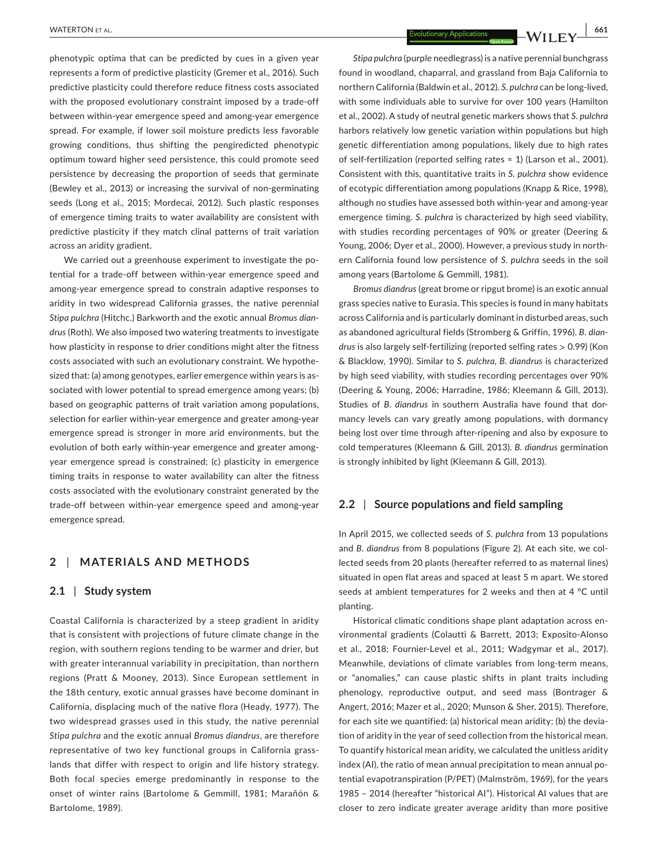phenotypic optima that can be predicted by cues in a given year represents a form of predictive plasticity (Gremer et al., 2016). Such predictive plasticity could therefore reduce fitness costs associated with the proposed evolutionary constraint imposed by a trade-off between within-year emergence speed and among-year emergence spread. For example, if lower soil moisture predicts less favorable growing conditions, thus shifting the pengiredicted phenotypic optimum toward higher seed persistence, this could promote seed persistence by decreasing the proportion of seeds that germinate (Bewley et al., 2013) or increasing the survival of non-germinating seeds (Long et al., 2015; Mordecai, 2012). Such plastic responses of emergence timing traits to water availability are consistent with predictive plasticity if they match clinal patterns of trait variation across an aridity gradient.

We carried out a greenhouse experiment to investigate the potential for a trade-off between within-year emergence speed and among-year emergence spread to constrain adaptive responses to aridity in two widespread California grasses, the native perennial *Stipa pulchra* (Hitchc.) Barkworth and the exotic annual *Bromus diandrus* (Roth). We also imposed two watering treatments to investigate how plasticity in response to drier conditions might alter the fitness costs associated with such an evolutionary constraint. We hypothesized that: (a) among genotypes, earlier emergence within years is associated with lower potential to spread emergence among years; (b) based on geographic patterns of trait variation among populations, selection for earlier within-year emergence and greater among-year emergence spread is stronger in more arid environments, but the evolution of both early within-year emergence and greater amongyear emergence spread is constrained; (c) plasticity in emergence timing traits in response to water availability can alter the fitness costs associated with the evolutionary constraint generated by the trade-off between within-year emergence speed and among-year emergence spread.

# **2** | **MATERIALS AND METHODS**

#### **2.1** | **Study system**

Coastal California is characterized by a steep gradient in aridity that is consistent with projections of future climate change in the region, with southern regions tending to be warmer and drier, but with greater interannual variability in precipitation, than northern regions (Pratt & Mooney, 2013). Since European settlement in the 18th century, exotic annual grasses have become dominant in California, displacing much of the native flora (Heady, 1977). The two widespread grasses used in this study, the native perennial *Stipa pulchra* and the exotic annual *Bromus diandrus*, are therefore representative of two key functional groups in California grasslands that differ with respect to origin and life history strategy. Both focal species emerge predominantly in response to the onset of winter rains (Bartolome & Gemmill, 1981; Marañón & Bartolome, 1989).

 **|** WATERTON et al. **661**

*Stipa pulchra* (purple needlegrass) is a native perennial bunchgrass found in woodland, chaparral, and grassland from Baja California to northern California (Baldwin et al., 2012). *S. pulchra* can be long-lived, with some individuals able to survive for over 100 years (Hamilton et al., 2002). A study of neutral genetic markers shows that *S. pulchra* harbors relatively low genetic variation within populations but high genetic differentiation among populations, likely due to high rates of self-fertilization (reported selfing rates ≈ 1) (Larson et al., 2001). Consistent with this, quantitative traits in *S. pulchra* show evidence of ecotypic differentiation among populations (Knapp & Rice, 1998), although no studies have assessed both within-year and among-year emergence timing. *S. pulchra* is characterized by high seed viability, with studies recording percentages of 90% or greater (Deering & Young, 2006; Dyer et al., 2000). However, a previous study in northern California found low persistence of *S. pulchra* seeds in the soil among years (Bartolome & Gemmill, 1981).

*Bromus diandrus* (great brome or ripgut brome) is an exotic annual grass species native to Eurasia. This species is found in many habitats across California and is particularly dominant in disturbed areas, such as abandoned agricultural fields (Stromberg & Griffin, 1996). *B. diandrus* is also largely self-fertilizing (reported selfing rates > 0.99) (Kon & Blacklow, 1990). Similar to *S. pulchra*, *B. diandrus* is characterized by high seed viability, with studies recording percentages over 90% (Deering & Young, 2006; Harradine, 1986; Kleemann & Gill, 2013). Studies of *B. diandrus* in southern Australia have found that dormancy levels can vary greatly among populations, with dormancy being lost over time through after-ripening and also by exposure to cold temperatures (Kleemann & Gill, 2013). *B. diandrus* germination is strongly inhibited by light (Kleemann & Gill, 2013).

# **2.2** | **Source populations and field sampling**

In April 2015, we collected seeds of *S. pulchra* from 13 populations and *B. diandrus* from 8 populations (Figure 2). At each site, we collected seeds from 20 plants (hereafter referred to as maternal lines) situated in open flat areas and spaced at least 5 m apart. We stored seeds at ambient temperatures for 2 weeks and then at 4 °C until planting.

Historical climatic conditions shape plant adaptation across environmental gradients (Colautti & Barrett, 2013; Exposito-Alonso et al., 2018; Fournier-Level et al., 2011; Wadgymar et al., 2017). Meanwhile, deviations of climate variables from long-term means, or "anomalies," can cause plastic shifts in plant traits including phenology, reproductive output, and seed mass (Bontrager & Angert, 2016; Mazer et al., 2020; Munson & Sher, 2015). Therefore, for each site we quantified: (a) historical mean aridity; (b) the deviation of aridity in the year of seed collection from the historical mean. To quantify historical mean aridity, we calculated the unitless aridity index (AI), the ratio of mean annual precipitation to mean annual potential evapotranspiration (P/PET) (Malmström, 1969), for the years 1985 – 2014 (hereafter "historical AI"). Historical AI values that are closer to zero indicate greater average aridity than more positive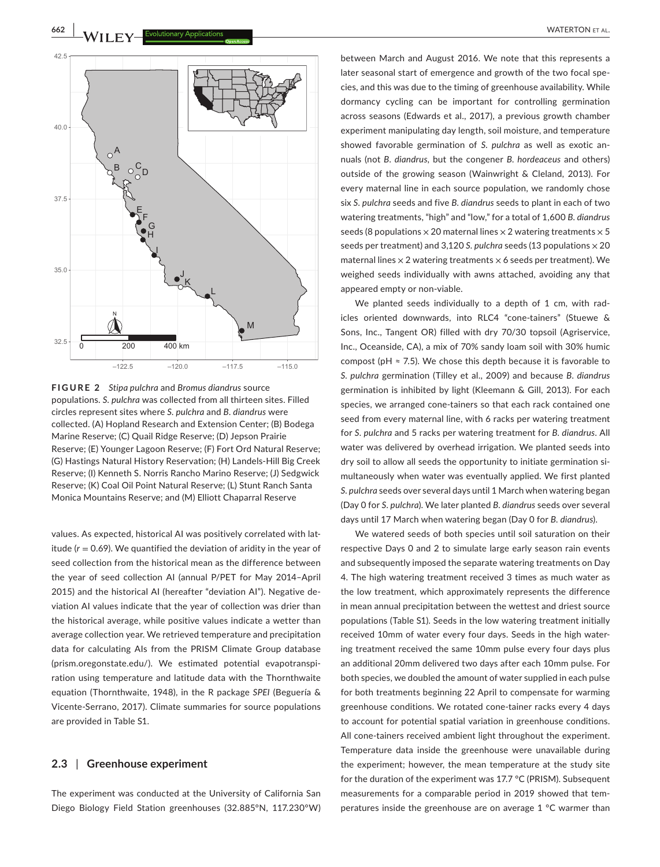

**FIGURE 2** *Stipa pulchra* and *Bromus diandrus* source populations. *S. pulchra* was collected from all thirteen sites. Filled circles represent sites where *S. pulchra* and *B. diandrus* were collected. (A) Hopland Research and Extension Center; (B) Bodega Marine Reserve; (C) Quail Ridge Reserve; (D) Jepson Prairie Reserve; (E) Younger Lagoon Reserve; (F) Fort Ord Natural Reserve; (G) Hastings Natural History Reservation; (H) Landels-Hill Big Creek Reserve; (I) Kenneth S. Norris Rancho Marino Reserve; (J) Sedgwick Reserve; (K) Coal Oil Point Natural Reserve; (L) Stunt Ranch Santa Monica Mountains Reserve; and (M) Elliott Chaparral Reserve

values. As expected, historical AI was positively correlated with latitude  $(r = 0.69)$ . We quantified the deviation of aridity in the year of seed collection from the historical mean as the difference between the year of seed collection AI (annual P/PET for May 2014–April 2015) and the historical AI (hereafter "deviation AI"). Negative deviation AI values indicate that the year of collection was drier than the historical average, while positive values indicate a wetter than average collection year. We retrieved temperature and precipitation data for calculating AIs from the PRISM Climate Group database (prism.oregonstate.edu/). We estimated potential evapotranspiration using temperature and latitude data with the Thornthwaite equation (Thornthwaite, 1948), in the R package *SPEI* (Beguería & Vicente-Serrano, 2017). Climate summaries for source populations are provided in Table S1.

#### **2.3** | **Greenhouse experiment**

The experiment was conducted at the University of California San Diego Biology Field Station greenhouses (32.885°N, 117.230°W) between March and August 2016. We note that this represents a later seasonal start of emergence and growth of the two focal species, and this was due to the timing of greenhouse availability. While dormancy cycling can be important for controlling germination across seasons (Edwards et al., 2017), a previous growth chamber experiment manipulating day length, soil moisture, and temperature showed favorable germination of *S. pulchra* as well as exotic annuals (not *B. diandrus*, but the congener *B. hordeaceus* and others) outside of the growing season (Wainwright & Cleland, 2013). For every maternal line in each source population, we randomly chose six *S. pulchra* seeds and five *B. diandrus* seeds to plant in each of two watering treatments, "high" and "low," for a total of 1,600 *B. diandrus* seeds (8 populations  $\times$  20 maternal lines  $\times$  2 watering treatments  $\times$  5 seeds per treatment) and 3,120 *S. pulchra* seeds (13 populations × 20 maternal lines  $\times$  2 watering treatments  $\times$  6 seeds per treatment). We weighed seeds individually with awns attached, avoiding any that appeared empty or non-viable.

We planted seeds individually to a depth of 1 cm, with radicles oriented downwards, into RLC4 "cone-tainers" (Stuewe & Sons, Inc., Tangent OR) filled with dry 70/30 topsoil (Agriservice, Inc., Oceanside, CA), a mix of 70% sandy loam soil with 30% humic compost (pH  $\approx$  7.5). We chose this depth because it is favorable to *S. pulchra* germination (Tilley et al., 2009) and because *B. diandrus* germination is inhibited by light (Kleemann & Gill, 2013). For each species, we arranged cone-tainers so that each rack contained one seed from every maternal line, with 6 racks per watering treatment for *S. pulchra* and 5 racks per watering treatment for *B. diandrus*. All water was delivered by overhead irrigation. We planted seeds into dry soil to allow all seeds the opportunity to initiate germination simultaneously when water was eventually applied. We first planted *S. pulchra* seeds over several days until 1 March when watering began (Day 0 for *S. pulchra*). We later planted *B. diandrus* seeds over several days until 17 March when watering began (Day 0 for *B. diandrus*).

We watered seeds of both species until soil saturation on their respective Days 0 and 2 to simulate large early season rain events and subsequently imposed the separate watering treatments on Day 4. The high watering treatment received 3 times as much water as the low treatment, which approximately represents the difference in mean annual precipitation between the wettest and driest source populations (Table S1). Seeds in the low watering treatment initially received 10mm of water every four days. Seeds in the high watering treatment received the same 10mm pulse every four days plus an additional 20mm delivered two days after each 10mm pulse. For both species, we doubled the amount of water supplied in each pulse for both treatments beginning 22 April to compensate for warming greenhouse conditions. We rotated cone-tainer racks every 4 days to account for potential spatial variation in greenhouse conditions. All cone-tainers received ambient light throughout the experiment. Temperature data inside the greenhouse were unavailable during the experiment; however, the mean temperature at the study site for the duration of the experiment was 17.7 °C (PRISM). Subsequent measurements for a comparable period in 2019 showed that temperatures inside the greenhouse are on average 1 °C warmer than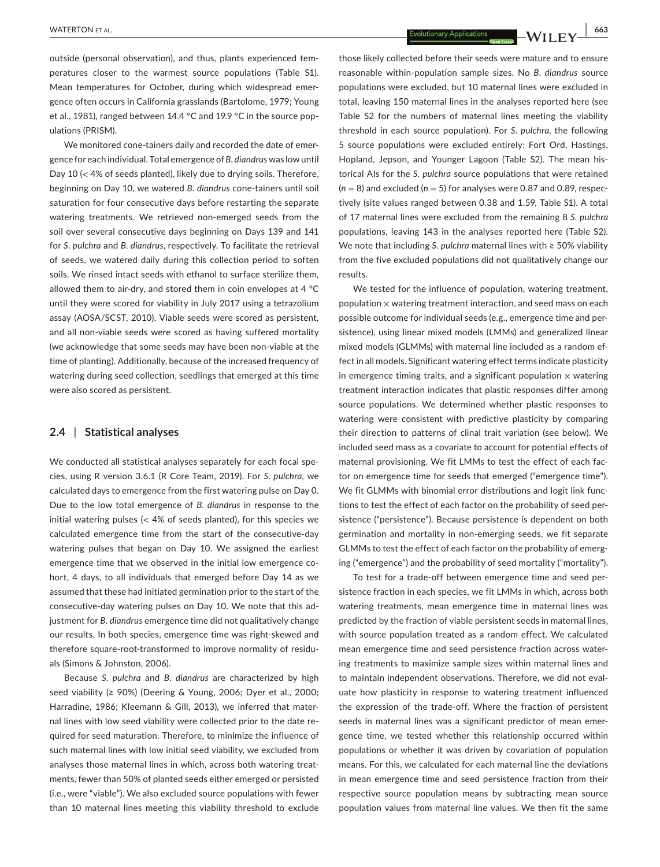outside (personal observation), and thus, plants experienced temperatures closer to the warmest source populations (Table S1). Mean temperatures for October, during which widespread emergence often occurs in California grasslands (Bartolome, 1979; Young et al., 1981), ranged between 14.4 °C and 19.9 °C in the source populations (PRISM).

We monitored cone-tainers daily and recorded the date of emergence for each individual. Total emergence of *B. diandrus* was low until Day 10 (< 4% of seeds planted), likely due to drying soils. Therefore, beginning on Day 10, we watered *B. diandrus* cone-tainers until soil saturation for four consecutive days before restarting the separate watering treatments. We retrieved non-emerged seeds from the soil over several consecutive days beginning on Days 139 and 141 for *S. pulchra* and *B. diandrus*, respectively. To facilitate the retrieval of seeds, we watered daily during this collection period to soften soils. We rinsed intact seeds with ethanol to surface sterilize them, allowed them to air-dry, and stored them in coin envelopes at 4 °C until they were scored for viability in July 2017 using a tetrazolium assay (AOSA/SCST, 2010). Viable seeds were scored as persistent, and all non-viable seeds were scored as having suffered mortality (we acknowledge that some seeds may have been non-viable at the time of planting). Additionally, because of the increased frequency of watering during seed collection, seedlings that emerged at this time were also scored as persistent.

#### **2.4** | **Statistical analyses**

We conducted all statistical analyses separately for each focal species, using R version 3.6.1 (R Core Team, 2019). For *S. pulchra*, we calculated days to emergence from the first watering pulse on Day 0. Due to the low total emergence of *B. diandrus* in response to the initial watering pulses  $\ll$  4% of seeds planted), for this species we calculated emergence time from the start of the consecutive-day watering pulses that began on Day 10. We assigned the earliest emergence time that we observed in the initial low emergence cohort, 4 days, to all individuals that emerged before Day 14 as we assumed that these had initiated germination prior to the start of the consecutive-day watering pulses on Day 10. We note that this adjustment for *B. diandrus* emergence time did not qualitatively change our results. In both species, emergence time was right-skewed and therefore square-root-transformed to improve normality of residuals (Simons & Johnston, 2006).

Because *S. pulchra* and *B. diandrus* are characterized by high seed viability (≥ 90%) (Deering & Young, 2006; Dyer et al., 2000; Harradine, 1986; Kleemann & Gill, 2013), we inferred that maternal lines with low seed viability were collected prior to the date required for seed maturation. Therefore, to minimize the influence of such maternal lines with low initial seed viability, we excluded from analyses those maternal lines in which, across both watering treatments, fewer than 50% of planted seeds either emerged or persisted (i.e., were "viable"). We also excluded source populations with fewer than 10 maternal lines meeting this viability threshold to exclude those likely collected before their seeds were mature and to ensure reasonable within-population sample sizes. No *B. diandrus* source populations were excluded, but 10 maternal lines were excluded in total, leaving 150 maternal lines in the analyses reported here (see Table S2 for the numbers of maternal lines meeting the viability threshold in each source population). For *S. pulchra*, the following 5 source populations were excluded entirely: Fort Ord, Hastings, Hopland, Jepson, and Younger Lagoon (Table S2). The mean historical AIs for the *S. pulchra* source populations that were retained  $(n = 8)$  and excluded  $(n = 5)$  for analyses were 0.87 and 0.89, respectively (site values ranged between 0.38 and 1.59, Table S1). A total of 17 maternal lines were excluded from the remaining 8 *S. pulchra* populations, leaving 143 in the analyses reported here (Table S2). We note that including *S. pulchra* maternal lines with ≥ 50% viability from the five excluded populations did not qualitatively change our results.

We tested for the influence of population, watering treatment, population  $\times$  watering treatment interaction, and seed mass on each possible outcome for individual seeds (e.g., emergence time and persistence), using linear mixed models (LMMs) and generalized linear mixed models (GLMMs) with maternal line included as a random effect in all models. Significant watering effect terms indicate plasticity in emergence timing traits, and a significant population  $\times$  watering treatment interaction indicates that plastic responses differ among source populations. We determined whether plastic responses to watering were consistent with predictive plasticity by comparing their direction to patterns of clinal trait variation (see below). We included seed mass as a covariate to account for potential effects of maternal provisioning. We fit LMMs to test the effect of each factor on emergence time for seeds that emerged ("emergence time"). We fit GLMMs with binomial error distributions and logit link functions to test the effect of each factor on the probability of seed persistence ("persistence"). Because persistence is dependent on both germination and mortality in non-emerging seeds, we fit separate GLMMs to test the effect of each factor on the probability of emerging ("emergence") and the probability of seed mortality ("mortality").

To test for a trade-off between emergence time and seed persistence fraction in each species, we fit LMMs in which, across both watering treatments, mean emergence time in maternal lines was predicted by the fraction of viable persistent seeds in maternal lines, with source population treated as a random effect. We calculated mean emergence time and seed persistence fraction across watering treatments to maximize sample sizes within maternal lines and to maintain independent observations. Therefore, we did not evaluate how plasticity in response to watering treatment influenced the expression of the trade-off. Where the fraction of persistent seeds in maternal lines was a significant predictor of mean emergence time, we tested whether this relationship occurred within populations or whether it was driven by covariation of population means. For this, we calculated for each maternal line the deviations in mean emergence time and seed persistence fraction from their respective source population means by subtracting mean source population values from maternal line values. We then fit the same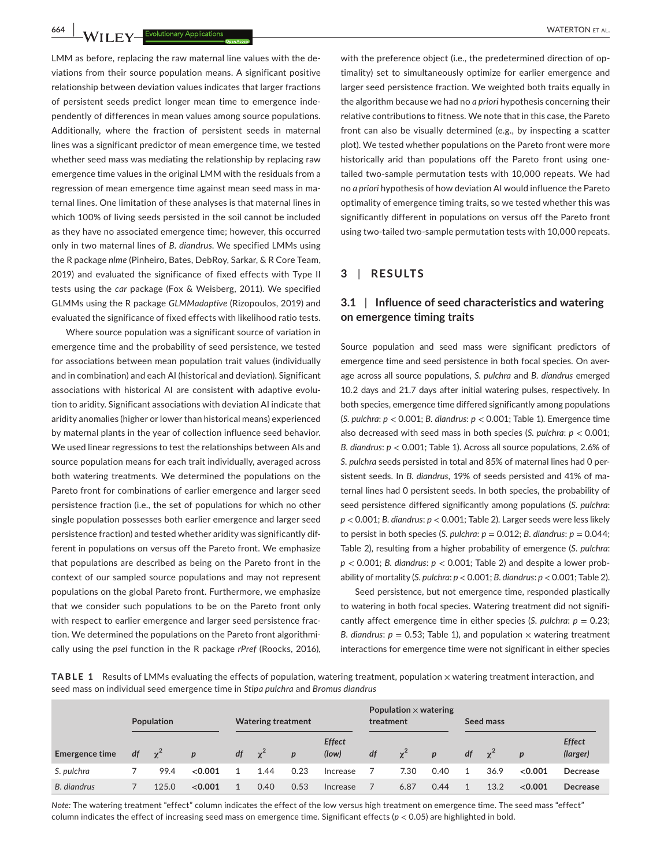**664 WATERTON ET AL.**<br> **1664 WATERTON ET AL.**<br> **1664 WATERTON ET AL.** 

LMM as before, replacing the raw maternal line values with the deviations from their source population means. A significant positive relationship between deviation values indicates that larger fractions of persistent seeds predict longer mean time to emergence independently of differences in mean values among source populations. Additionally, where the fraction of persistent seeds in maternal lines was a significant predictor of mean emergence time, we tested whether seed mass was mediating the relationship by replacing raw emergence time values in the original LMM with the residuals from a regression of mean emergence time against mean seed mass in maternal lines. One limitation of these analyses is that maternal lines in which 100% of living seeds persisted in the soil cannot be included as they have no associated emergence time; however, this occurred only in two maternal lines of *B. diandrus*. We specified LMMs using the R package *nlme* (Pinheiro, Bates, DebRoy, Sarkar, & R Core Team, 2019) and evaluated the significance of fixed effects with Type II tests using the *car* package (Fox & Weisberg, 2011). We specified GLMMs using the R package *GLMMadaptive* (Rizopoulos, 2019) and evaluated the significance of fixed effects with likelihood ratio tests.

Where source population was a significant source of variation in emergence time and the probability of seed persistence, we tested for associations between mean population trait values (individually and in combination) and each AI (historical and deviation). Significant associations with historical AI are consistent with adaptive evolution to aridity. Significant associations with deviation AI indicate that aridity anomalies (higher or lower than historical means) experienced by maternal plants in the year of collection influence seed behavior. We used linear regressions to test the relationships between AIs and source population means for each trait individually, averaged across both watering treatments. We determined the populations on the Pareto front for combinations of earlier emergence and larger seed persistence fraction (i.e., the set of populations for which no other single population possesses both earlier emergence and larger seed persistence fraction) and tested whether aridity was significantly different in populations on versus off the Pareto front. We emphasize that populations are described as being on the Pareto front in the context of our sampled source populations and may not represent populations on the global Pareto front. Furthermore, we emphasize that we consider such populations to be on the Pareto front only with respect to earlier emergence and larger seed persistence fraction. We determined the populations on the Pareto front algorithmically using the *psel* function in the R package *rPref* (Roocks, 2016),

with the preference object (i.e., the predetermined direction of optimality) set to simultaneously optimize for earlier emergence and larger seed persistence fraction. We weighted both traits equally in the algorithm because we had no *a priori* hypothesis concerning their relative contributions to fitness. We note that in this case, the Pareto front can also be visually determined (e.g., by inspecting a scatter plot). We tested whether populations on the Pareto front were more historically arid than populations off the Pareto front using onetailed two-sample permutation tests with 10,000 repeats. We had no *a priori* hypothesis of how deviation AI would influence the Pareto optimality of emergence timing traits, so we tested whether this was significantly different in populations on versus off the Pareto front using two-tailed two-sample permutation tests with 10,000 repeats.

#### **3** | **RESULTS**

# **3.1** | **Influence of seed characteristics and watering on emergence timing traits**

Source population and seed mass were significant predictors of emergence time and seed persistence in both focal species. On average across all source populations, *S. pulchra* and *B. diandrus* emerged 10.2 days and 21.7 days after initial watering pulses, respectively. In both species, emergence time differed significantly among populations (*S. pulchra*: *p* < 0.001; *B. diandrus*: *p* < 0.001; Table 1). Emergence time also decreased with seed mass in both species (*S. pulchra*: *p* < 0.001; *B. diandrus*: *p* < 0.001; Table 1). Across all source populations, 2.6% of *S. pulchra* seeds persisted in total and 85% of maternal lines had 0 persistent seeds. In *B. diandrus*, 19% of seeds persisted and 41% of maternal lines had 0 persistent seeds. In both species, the probability of seed persistence differed significantly among populations (*S. pulchra*: *p* < 0.001; *B. diandrus*: *p* < 0.001; Table 2). Larger seeds were less likely to persist in both species (*S. pulchra*: *p* = 0.012; *B. diandrus*: *p* = 0.044; Table 2), resulting from a higher probability of emergence (*S. pulchra*: *p* < 0.001; *B. diandrus*: *p* < 0.001; Table 2) and despite a lower probability of mortality (*S. pulchra*: *p* < 0.001; *B. diandrus*: *p* < 0.001; Table 2).

Seed persistence, but not emergence time, responded plastically to watering in both focal species. Watering treatment did not significantly affect emergence time in either species (*S. pulchra:*  $p = 0.23$ ; *B. diandrus*:  $p = 0.53$ ; Table 1), and population  $\times$  watering treatment interactions for emergence time were not significant in either species

TABLE 1 Results of LMMs evaluating the effects of population, watering treatment, population x watering treatment interaction, and seed mass on individual seed emergence time in *Stipa pulchra* and *Bromus diandrus*

|                | Population |            |                  |    | <b>Watering treatment</b> |                  |                        | Population $\times$ watering<br>treatment |            |              | Seed mass |            |                  |                           |
|----------------|------------|------------|------------------|----|---------------------------|------------------|------------------------|-------------------------------------------|------------|--------------|-----------|------------|------------------|---------------------------|
| Emergence time | df         | $\gamma^2$ | $\boldsymbol{p}$ | df | $\chi^2$                  | $\boldsymbol{p}$ | <b>Effect</b><br>(low) | df                                        | $\gamma^2$ | $\mathbf{p}$ | df        | $\gamma^2$ | $\boldsymbol{D}$ | <b>Effect</b><br>(larger) |
| S. pulchra     |            | 99.4       | < 0.001          |    | 1.44                      | 0.23             | Increase               |                                           | 7.30       | 0.40         |           | 36.9       | < 0.001          | Decrease                  |
| B. diandrus    |            | 125.0      | < 0.001          |    | 0.40                      | 0.53             | Increase               |                                           | 6.87       | 0.44         |           | 13.2       | < 0.001          | Decrease                  |

*Note:* The watering treatment "effect" column indicates the effect of the low versus high treatment on emergence time. The seed mass "effect" column indicates the effect of increasing seed mass on emergence time. Significant effects (*p* < 0.05) are highlighted in bold.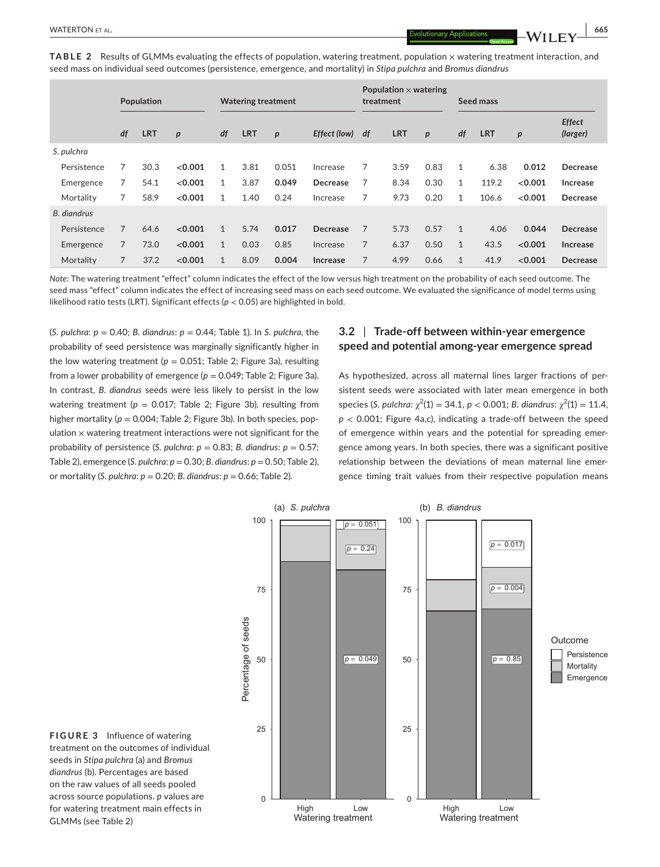**TABLE 2** Results of GLMMs evaluating the effects of population, watering treatment, population x watering treatment interaction, and seed mass on individual seed outcomes (persistence, emergence, and mortality) in *Stipa pulchra* and *Bromus diandrus*

|             |                | Population |                  | <b>Watering treatment</b> |            |                  |                 |                | Population $\times$ watering<br>treatment |                  |              | Seed mass  |                  |                           |  |
|-------------|----------------|------------|------------------|---------------------------|------------|------------------|-----------------|----------------|-------------------------------------------|------------------|--------------|------------|------------------|---------------------------|--|
|             | df             | <b>LRT</b> | $\boldsymbol{p}$ | df                        | <b>LRT</b> | $\boldsymbol{p}$ | Effect (low)    | df             | <b>LRT</b>                                | $\boldsymbol{p}$ | df           | <b>LRT</b> | $\boldsymbol{p}$ | <b>Effect</b><br>(larger) |  |
| S. pulchra  |                |            |                  |                           |            |                  |                 |                |                                           |                  |              |            |                  |                           |  |
| Persistence | 7              | 30.3       | < 0.001          | $\mathbf{1}$              | 3.81       | 0.051            | Increase        | 7              | 3.59                                      | 0.83             | $\mathbf{1}$ | 6.38       | 0.012            | Decrease                  |  |
| Emergence   | 7              | 54.1       | < 0.001          | 1                         | 3.87       | 0.049            | <b>Decrease</b> | 7              | 8.34                                      | 0.30             | $\mathbf{1}$ | 119.2      | < 0.001          | Increase                  |  |
| Mortality   | 7              | 58.9       | < 0.001          | $\mathbf{1}$              | 1.40       | 0.24             | Increase        | 7              | 9.73                                      | 0.20             | $\mathbf{1}$ | 106.6      | < 0.001          | <b>Decrease</b>           |  |
| B. diandrus |                |            |                  |                           |            |                  |                 |                |                                           |                  |              |            |                  |                           |  |
| Persistence | $\overline{7}$ | 64.6       | < 0.001          | $\mathbf{1}$              | 5.74       | 0.017            | <b>Decrease</b> | 7              | 5.73                                      | 0.57             | $\mathbf{1}$ | 4.06       | 0.044            | <b>Decrease</b>           |  |
| Emergence   | $\overline{7}$ | 73.0       | < 0.001          | $\mathbf{1}$              | 0.03       | 0.85             | Increase        | 7              | 6.37                                      | 0.50             | $\mathbf{1}$ | 43.5       | < 0.001          | Increase                  |  |
| Mortality   | $\overline{7}$ | 37.2       | < 0.001          | $\mathbf{1}$              | 8.09       | 0.004            | Increase        | $\overline{7}$ | 4.99                                      | 0.66             | $\mathbf{1}$ | 41.9       | < 0.001          | <b>Decrease</b>           |  |

*Note:* The watering treatment "effect" column indicates the effect of the low versus high treatment on the probability of each seed outcome. The seed mass "effect" column indicates the effect of increasing seed mass on each seed outcome. We evaluated the significance of model terms using likelihood ratio tests (LRT). Significant effects (*p* < 0.05) are highlighted in bold.

(*S. pulchra*: *p* = 0.40; *B. diandrus*: *p* = 0.44; Table 1). In *S. pulchra*, the probability of seed persistence was marginally significantly higher in the low watering treatment ( $p = 0.051$ ; Table 2; Figure 3a), resulting from a lower probability of emergence  $(p = 0.049;$  Table 2; Figure 3a). In contrast, *B. diandrus* seeds were less likely to persist in the low watering treatment ( $p = 0.017$ ; Table 2; Figure 3b), resulting from higher mortality ( $p = 0.004$ ; Table 2; Figure 3b). In both species, population  $\times$  watering treatment interactions were not significant for the probability of persistence (*S. pulchra: p* = 0.83; *B. diandrus: p* = 0.57; Table 2), emergence (*S. pulchra*: *p* = 0.30; *B. diandrus*: *p* = 0.50; Table 2), or mortality (*S. pulchra*: *p* = 0.20; *B. diandrus*: *p* = 0.66; Table 2).

# **3.2** | **Trade-off between within-year emergence speed and potential among-year emergence spread**

As hypothesized, across all maternal lines larger fractions of persistent seeds were associated with later mean emergence in both species (*S. pulchra:*  $\chi^2(1) = 34.1$ ,  $p < 0.001$ ; *B. diandrus:*  $\chi^2(1) = 11.4$ ,  $p < 0.001$ ; Figure 4a,c), indicating a trade-off between the speed of emergence within years and the potential for spreading emergence among years. In both species, there was a significant positive relationship between the deviations of mean maternal line emergence timing trait values from their respective population means



**FIGURE 3** Influence of watering treatment on the outcomes of individual seeds in *Stipa pulchra* (a) and *Bromus diandrus* (b). Percentages are based on the raw values of all seeds pooled across source populations. *p* values are for watering treatment main effects in GLMMs (see Table 2)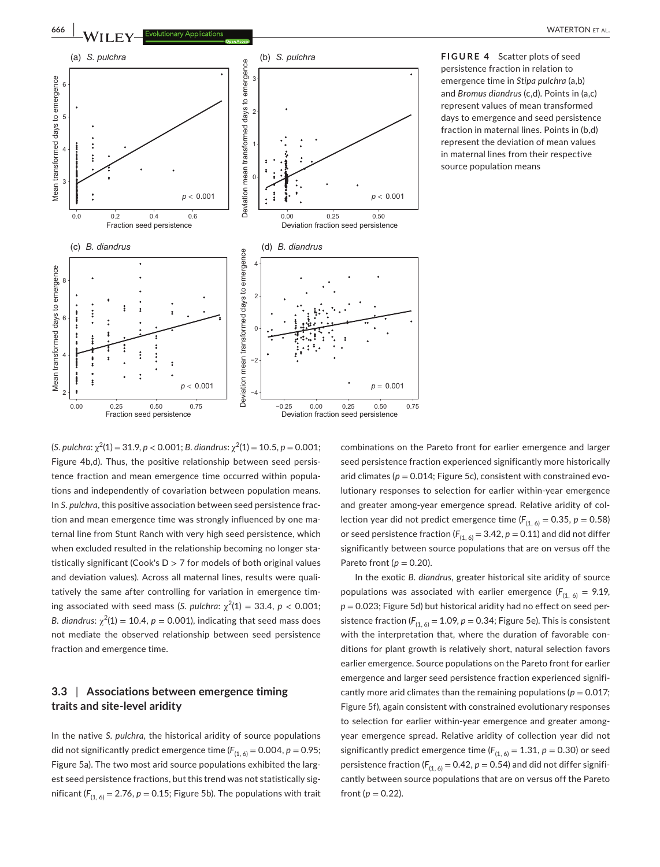

**FIGURE 4** Scatter plots of seed persistence fraction in relation to emergence time in *Stipa pulchra* (a,b) and *Bromus diandrus* (c,d). Points in (a,c) represent values of mean transformed days to emergence and seed persistence fraction in maternal lines. Points in (b,d) represent the deviation of mean values in maternal lines from their respective source population means

 $(S.$  *pulchra*:  $\chi^2(1) = 31.9$ ,  $p < 0.001$ ; *B. diandrus*:  $\chi^2(1) = 10.5$ ,  $p = 0.001$ ; Figure 4b,d). Thus, the positive relationship between seed persistence fraction and mean emergence time occurred within populations and independently of covariation between population means. In *S. pulchra*, this positive association between seed persistence fraction and mean emergence time was strongly influenced by one maternal line from Stunt Ranch with very high seed persistence, which when excluded resulted in the relationship becoming no longer statistically significant (Cook's  $D > 7$  for models of both original values and deviation values). Across all maternal lines, results were qualitatively the same after controlling for variation in emergence timing associated with seed mass (*S. pulchra*:  $\chi^2(1) = 33.4$ ,  $p < 0.001$ ; *B. diandrus*:  $\chi^2(1) = 10.4$ ,  $p = 0.001$ ), indicating that seed mass does not mediate the observed relationship between seed persistence fraction and emergence time.

# **3.3** | **Associations between emergence timing traits and site-level aridity**

In the native *S. pulchra*, the historical aridity of source populations did not significantly predict emergence time  $(F_{(1, 6)} = 0.004, p = 0.95;$ Figure 5a). The two most arid source populations exhibited the largest seed persistence fractions, but this trend was not statistically significant  $(F_{(1, 6)} = 2.76, p = 0.15;$  Figure 5b). The populations with trait

combinations on the Pareto front for earlier emergence and larger seed persistence fraction experienced significantly more historically arid climates ( $p = 0.014$ ; Figure 5c), consistent with constrained evolutionary responses to selection for earlier within-year emergence and greater among-year emergence spread. Relative aridity of collection year did not predict emergence time  $(F_{(1, 6)} = 0.35, p = 0.58)$ or seed persistence fraction  $(F_{(1, 6)} = 3.42, p = 0.11)$  and did not differ significantly between source populations that are on versus off the Pareto front ( $p = 0.20$ ).

In the exotic *B. diandrus,* greater historical site aridity of source populations was associated with earlier emergence ( $F_{(1, 6)} = 9.19$ , *p* = 0.023; Figure 5d) but historical aridity had no effect on seed persistence fraction ( $F_{(1, 6)} = 1.09$ ,  $p = 0.34$ ; Figure 5e). This is consistent with the interpretation that, where the duration of favorable conditions for plant growth is relatively short, natural selection favors earlier emergence. Source populations on the Pareto front for earlier emergence and larger seed persistence fraction experienced significantly more arid climates than the remaining populations ( $p = 0.017$ ; Figure 5f), again consistent with constrained evolutionary responses to selection for earlier within-year emergence and greater amongyear emergence spread. Relative aridity of collection year did not significantly predict emergence time  $(F_{(1, 6)} = 1.31, p = 0.30)$  or seed persistence fraction ( $F_{(1, 6)} = 0.42$ ,  $p = 0.54$ ) and did not differ significantly between source populations that are on versus off the Pareto front ( $p = 0.22$ ).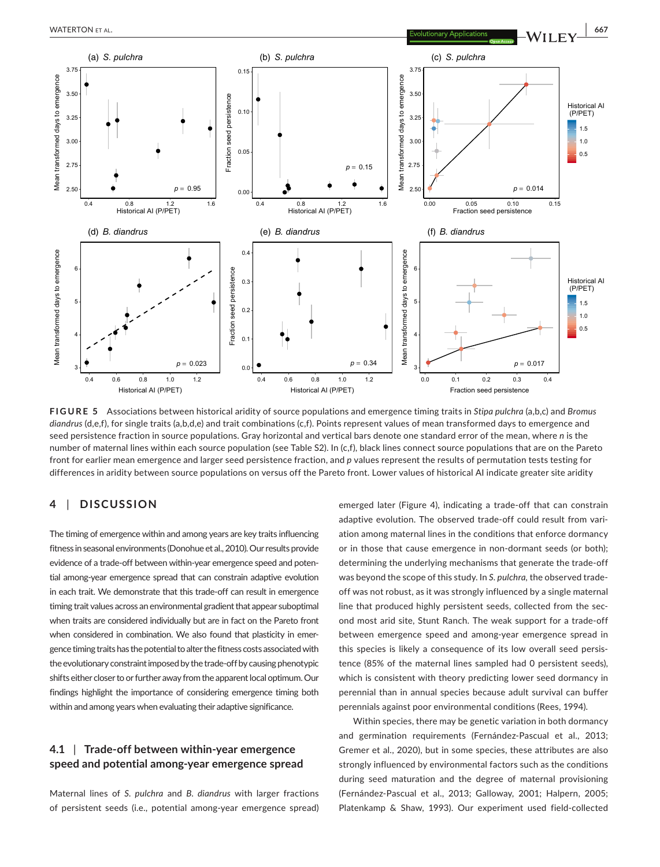

**FIGURE 5** Associations between historical aridity of source populations and emergence timing traits in *Stipa pulchra* (a,b,c) and *Bromus diandrus* (d,e,f), for single traits (a,b,d,e) and trait combinations (c,f). Points represent values of mean transformed days to emergence and seed persistence fraction in source populations. Gray horizontal and vertical bars denote one standard error of the mean, where *n* is the number of maternal lines within each source population (see Table S2). In (c,f), black lines connect source populations that are on the Pareto front for earlier mean emergence and larger seed persistence fraction, and *p* values represent the results of permutation tests testing for differences in aridity between source populations on versus off the Pareto front. Lower values of historical AI indicate greater site aridity

# **4** | **DISCUSSION**

The timing of emergence within and among years are key traits influencing fitness in seasonal environments (Donohue et al.,2010). Our results provide evidence of a trade-off between within-year emergence speed and potential among-year emergence spread that can constrain adaptive evolution in each trait. We demonstrate that this trade-off can result in emergence timing trait values across an environmental gradient that appear suboptimal when traits are considered individually but are in fact on the Pareto front when considered in combination. We also found that plasticity in emergence timing traits has the potential to alter the fitness costs associated with the evolutionary constraint imposed by the trade-off by causing phenotypic shifts either closer to or further away from the apparent local optimum. Our findings highlight the importance of considering emergence timing both within and among years when evaluating their adaptive significance.

# **4.1** | **Trade-off between within-year emergence speed and potential among-year emergence spread**

Maternal lines of *S. pulchra* and *B. diandrus* with larger fractions of persistent seeds (i.e., potential among-year emergence spread) emerged later (Figure 4), indicating a trade-off that can constrain adaptive evolution. The observed trade-off could result from variation among maternal lines in the conditions that enforce dormancy or in those that cause emergence in non-dormant seeds (or both); determining the underlying mechanisms that generate the trade-off was beyond the scope of this study. In *S. pulchra,* the observed tradeoff was not robust, as it was strongly influenced by a single maternal line that produced highly persistent seeds, collected from the second most arid site, Stunt Ranch. The weak support for a trade-off between emergence speed and among-year emergence spread in this species is likely a consequence of its low overall seed persistence (85% of the maternal lines sampled had 0 persistent seeds), which is consistent with theory predicting lower seed dormancy in perennial than in annual species because adult survival can buffer perennials against poor environmental conditions (Rees, 1994).

Within species, there may be genetic variation in both dormancy and germination requirements (Fernández-Pascual et al., 2013; Gremer et al., 2020), but in some species, these attributes are also strongly influenced by environmental factors such as the conditions during seed maturation and the degree of maternal provisioning (Fernández-Pascual et al., 2013; Galloway, 2001; Halpern, 2005; Platenkamp & Shaw, 1993). Our experiment used field-collected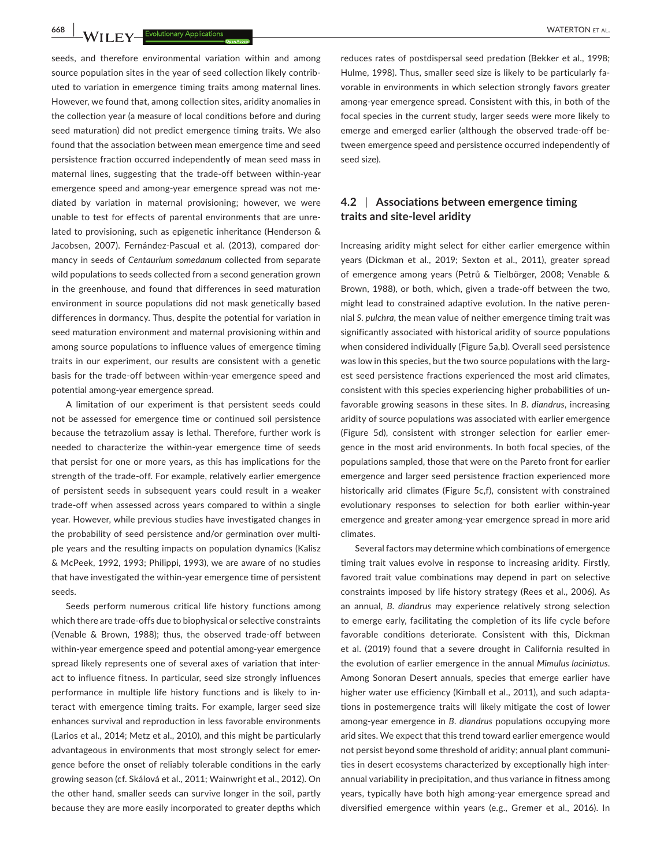**668 | WATERTON ET AL.** Evolutionary Applications **and the contract of all and the contract of the contract of the contract of the contract of the contract of the contract of the contract of the contract of the contract of** 

seeds, and therefore environmental variation within and among source population sites in the year of seed collection likely contributed to variation in emergence timing traits among maternal lines. However, we found that, among collection sites, aridity anomalies in the collection year (a measure of local conditions before and during seed maturation) did not predict emergence timing traits. We also found that the association between mean emergence time and seed persistence fraction occurred independently of mean seed mass in maternal lines, suggesting that the trade-off between within-year emergence speed and among-year emergence spread was not mediated by variation in maternal provisioning; however, we were unable to test for effects of parental environments that are unrelated to provisioning, such as epigenetic inheritance (Henderson & Jacobsen, 2007). Fernández-Pascual et al. (2013), compared dormancy in seeds of *Centaurium somedanum* collected from separate wild populations to seeds collected from a second generation grown in the greenhouse, and found that differences in seed maturation environment in source populations did not mask genetically based differences in dormancy. Thus, despite the potential for variation in seed maturation environment and maternal provisioning within and among source populations to influence values of emergence timing traits in our experiment, our results are consistent with a genetic basis for the trade-off between within-year emergence speed and potential among-year emergence spread.

A limitation of our experiment is that persistent seeds could not be assessed for emergence time or continued soil persistence because the tetrazolium assay is lethal. Therefore, further work is needed to characterize the within-year emergence time of seeds that persist for one or more years, as this has implications for the strength of the trade-off. For example, relatively earlier emergence of persistent seeds in subsequent years could result in a weaker trade-off when assessed across years compared to within a single year. However, while previous studies have investigated changes in the probability of seed persistence and/or germination over multiple years and the resulting impacts on population dynamics (Kalisz & McPeek, 1992, 1993; Philippi, 1993), we are aware of no studies that have investigated the within-year emergence time of persistent seeds.

Seeds perform numerous critical life history functions among which there are trade-offs due to biophysical or selective constraints (Venable & Brown, 1988); thus, the observed trade-off between within-year emergence speed and potential among-year emergence spread likely represents one of several axes of variation that interact to influence fitness. In particular, seed size strongly influences performance in multiple life history functions and is likely to interact with emergence timing traits. For example, larger seed size enhances survival and reproduction in less favorable environments (Larios et al., 2014; Metz et al., 2010), and this might be particularly advantageous in environments that most strongly select for emergence before the onset of reliably tolerable conditions in the early growing season (cf. Skálová et al., 2011; Wainwright et al., 2012). On the other hand, smaller seeds can survive longer in the soil, partly because they are more easily incorporated to greater depths which

reduces rates of postdispersal seed predation (Bekker et al., 1998; Hulme, 1998). Thus, smaller seed size is likely to be particularly favorable in environments in which selection strongly favors greater among-year emergence spread. Consistent with this, in both of the focal species in the current study, larger seeds were more likely to emerge and emerged earlier (although the observed trade-off between emergence speed and persistence occurred independently of seed size).

# **4.2** | **Associations between emergence timing traits and site-level aridity**

Increasing aridity might select for either earlier emergence within years (Dickman et al., 2019; Sexton et al., 2011), greater spread of emergence among years (Petrů & Tielbörger, 2008; Venable & Brown, 1988), or both, which, given a trade-off between the two, might lead to constrained adaptive evolution. In the native perennial *S. pulchra*, the mean value of neither emergence timing trait was significantly associated with historical aridity of source populations when considered individually (Figure 5a,b). Overall seed persistence was low in this species, but the two source populations with the largest seed persistence fractions experienced the most arid climates, consistent with this species experiencing higher probabilities of unfavorable growing seasons in these sites. In *B. diandrus*, increasing aridity of source populations was associated with earlier emergence (Figure 5d), consistent with stronger selection for earlier emergence in the most arid environments. In both focal species, of the populations sampled, those that were on the Pareto front for earlier emergence and larger seed persistence fraction experienced more historically arid climates (Figure 5c,f), consistent with constrained evolutionary responses to selection for both earlier within-year emergence and greater among-year emergence spread in more arid climates.

Several factors may determine which combinations of emergence timing trait values evolve in response to increasing aridity. Firstly, favored trait value combinations may depend in part on selective constraints imposed by life history strategy (Rees et al., 2006). As an annual, *B. diandrus* may experience relatively strong selection to emerge early, facilitating the completion of its life cycle before favorable conditions deteriorate. Consistent with this, Dickman et al. (2019) found that a severe drought in California resulted in the evolution of earlier emergence in the annual *Mimulus laciniatus*. Among Sonoran Desert annuals, species that emerge earlier have higher water use efficiency (Kimball et al., 2011), and such adaptations in postemergence traits will likely mitigate the cost of lower among-year emergence in *B. diandrus* populations occupying more arid sites. We expect that this trend toward earlier emergence would not persist beyond some threshold of aridity; annual plant communities in desert ecosystems characterized by exceptionally high interannual variability in precipitation, and thus variance in fitness among years, typically have both high among-year emergence spread and diversified emergence within years (e.g., Gremer et al., 2016). In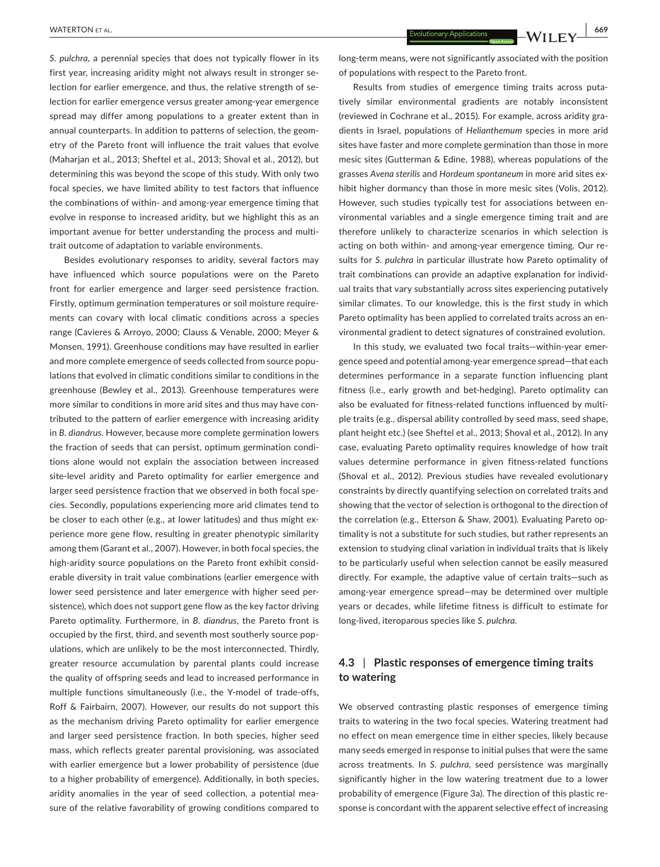*S. pulchra*, a perennial species that does not typically flower in its first year, increasing aridity might not always result in stronger selection for earlier emergence, and thus, the relative strength of selection for earlier emergence versus greater among-year emergence spread may differ among populations to a greater extent than in annual counterparts. In addition to patterns of selection, the geometry of the Pareto front will influence the trait values that evolve (Maharjan et al., 2013; Sheftel et al., 2013; Shoval et al., 2012), but determining this was beyond the scope of this study. With only two focal species, we have limited ability to test factors that influence the combinations of within- and among-year emergence timing that evolve in response to increased aridity, but we highlight this as an important avenue for better understanding the process and multitrait outcome of adaptation to variable environments.

Besides evolutionary responses to aridity, several factors may have influenced which source populations were on the Pareto front for earlier emergence and larger seed persistence fraction. Firstly, optimum germination temperatures or soil moisture requirements can covary with local climatic conditions across a species range (Cavieres & Arroyo, 2000; Clauss & Venable, 2000; Meyer & Monsen, 1991). Greenhouse conditions may have resulted in earlier and more complete emergence of seeds collected from source populations that evolved in climatic conditions similar to conditions in the greenhouse (Bewley et al., 2013). Greenhouse temperatures were more similar to conditions in more arid sites and thus may have contributed to the pattern of earlier emergence with increasing aridity in *B. diandrus*. However, because more complete germination lowers the fraction of seeds that can persist, optimum germination conditions alone would not explain the association between increased site-level aridity and Pareto optimality for earlier emergence and larger seed persistence fraction that we observed in both focal species. Secondly, populations experiencing more arid climates tend to be closer to each other (e.g., at lower latitudes) and thus might experience more gene flow, resulting in greater phenotypic similarity among them (Garant et al., 2007). However, in both focal species, the high-aridity source populations on the Pareto front exhibit considerable diversity in trait value combinations (earlier emergence with lower seed persistence and later emergence with higher seed persistence), which does not support gene flow as the key factor driving Pareto optimality. Furthermore, in *B. diandrus*, the Pareto front is occupied by the first, third, and seventh most southerly source populations, which are unlikely to be the most interconnected. Thirdly, greater resource accumulation by parental plants could increase the quality of offspring seeds and lead to increased performance in multiple functions simultaneously (i.e., the Y-model of trade-offs, Roff & Fairbairn, 2007). However, our results do not support this as the mechanism driving Pareto optimality for earlier emergence and larger seed persistence fraction. In both species, higher seed mass, which reflects greater parental provisioning, was associated with earlier emergence but a lower probability of persistence (due to a higher probability of emergence). Additionally, in both species, aridity anomalies in the year of seed collection, a potential measure of the relative favorability of growing conditions compared to

long-term means, were not significantly associated with the position of populations with respect to the Pareto front.

Results from studies of emergence timing traits across putatively similar environmental gradients are notably inconsistent (reviewed in Cochrane et al., 2015). For example, across aridity gradients in Israel, populations of *Helianthemum* species in more arid sites have faster and more complete germination than those in more mesic sites (Gutterman & Edine, 1988), whereas populations of the grasses *Avena sterilis* and *Hordeum spontaneum* in more arid sites exhibit higher dormancy than those in more mesic sites (Volis, 2012). However, such studies typically test for associations between environmental variables and a single emergence timing trait and are therefore unlikely to characterize scenarios in which selection is acting on both within- and among-year emergence timing. Our results for *S. pulchra* in particular illustrate how Pareto optimality of trait combinations can provide an adaptive explanation for individual traits that vary substantially across sites experiencing putatively similar climates. To our knowledge, this is the first study in which Pareto optimality has been applied to correlated traits across an environmental gradient to detect signatures of constrained evolution.

In this study, we evaluated two focal traits—within-year emergence speed and potential among-year emergence spread—that each determines performance in a separate function influencing plant fitness (i.e., early growth and bet-hedging). Pareto optimality can also be evaluated for fitness-related functions influenced by multiple traits (e.g., dispersal ability controlled by seed mass, seed shape, plant height etc.) (see Sheftel et al., 2013; Shoval et al., 2012). In any case, evaluating Pareto optimality requires knowledge of how trait values determine performance in given fitness-related functions (Shoval et al., 2012). Previous studies have revealed evolutionary constraints by directly quantifying selection on correlated traits and showing that the vector of selection is orthogonal to the direction of the correlation (e.g., Etterson & Shaw, 2001). Evaluating Pareto optimality is not a substitute for such studies, but rather represents an extension to studying clinal variation in individual traits that is likely to be particularly useful when selection cannot be easily measured directly. For example, the adaptive value of certain traits—such as among-year emergence spread—may be determined over multiple years or decades, while lifetime fitness is difficult to estimate for long-lived, iteroparous species like *S. pulchra*.

# **4.3** | **Plastic responses of emergence timing traits to watering**

We observed contrasting plastic responses of emergence timing traits to watering in the two focal species. Watering treatment had no effect on mean emergence time in either species, likely because many seeds emerged in response to initial pulses that were the same across treatments. In *S. pulchra*, seed persistence was marginally significantly higher in the low watering treatment due to a lower probability of emergence (Figure 3a). The direction of this plastic response is concordant with the apparent selective effect of increasing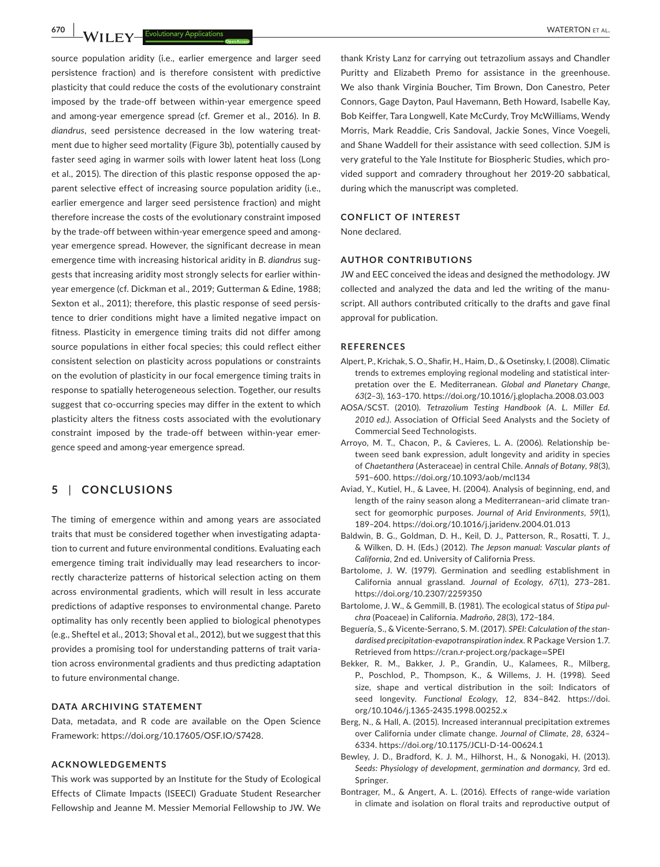**670 |**  WATERTON et al.

source population aridity (i.e., earlier emergence and larger seed persistence fraction) and is therefore consistent with predictive plasticity that could reduce the costs of the evolutionary constraint imposed by the trade-off between within-year emergence speed and among-year emergence spread (cf. Gremer et al., 2016). In *B. diandrus*, seed persistence decreased in the low watering treatment due to higher seed mortality (Figure 3b), potentially caused by faster seed aging in warmer soils with lower latent heat loss (Long et al., 2015). The direction of this plastic response opposed the apparent selective effect of increasing source population aridity (i.e., earlier emergence and larger seed persistence fraction) and might therefore increase the costs of the evolutionary constraint imposed by the trade-off between within-year emergence speed and amongyear emergence spread. However, the significant decrease in mean emergence time with increasing historical aridity in *B. diandrus* suggests that increasing aridity most strongly selects for earlier withinyear emergence (cf. Dickman et al., 2019; Gutterman & Edine, 1988; Sexton et al., 2011); therefore, this plastic response of seed persistence to drier conditions might have a limited negative impact on fitness. Plasticity in emergence timing traits did not differ among source populations in either focal species; this could reflect either consistent selection on plasticity across populations or constraints on the evolution of plasticity in our focal emergence timing traits in response to spatially heterogeneous selection. Together, our results suggest that co-occurring species may differ in the extent to which plasticity alters the fitness costs associated with the evolutionary constraint imposed by the trade-off between within-year emergence speed and among-year emergence spread.

# **5** | **CONCLUSIONS**

The timing of emergence within and among years are associated traits that must be considered together when investigating adaptation to current and future environmental conditions. Evaluating each emergence timing trait individually may lead researchers to incorrectly characterize patterns of historical selection acting on them across environmental gradients, which will result in less accurate predictions of adaptive responses to environmental change. Pareto optimality has only recently been applied to biological phenotypes (e.g., Sheftel et al., 2013; Shoval et al., 2012), but we suggest that this provides a promising tool for understanding patterns of trait variation across environmental gradients and thus predicting adaptation to future environmental change.

#### **DATA ARCHIVING STATEMENT**

Data, metadata, and R code are available on the Open Science Framework: [https://doi.org/10.17605/OSF.IO/S7428.](https://doi.org/10.17605/OSF.IO/S7428)

#### **ACKNOWLEDGEMENTS**

This work was supported by an Institute for the Study of Ecological Effects of Climate Impacts (ISEECI) Graduate Student Researcher Fellowship and Jeanne M. Messier Memorial Fellowship to JW. We

thank Kristy Lanz for carrying out tetrazolium assays and Chandler Puritty and Elizabeth Premo for assistance in the greenhouse. We also thank Virginia Boucher, Tim Brown, Don Canestro, Peter Connors, Gage Dayton, Paul Havemann, Beth Howard, Isabelle Kay, Bob Keiffer, Tara Longwell, Kate McCurdy, Troy McWilliams, Wendy Morris, Mark Readdie, Cris Sandoval, Jackie Sones, Vince Voegeli, and Shane Waddell for their assistance with seed collection. SJM is very grateful to the Yale Institute for Biospheric Studies, which provided support and comradery throughout her 2019-20 sabbatical, during which the manuscript was completed.

#### **CONFLICT OF INTEREST**

None declared.

#### **AUTHOR CONTRIBUTIONS**

JW and EEC conceived the ideas and designed the methodology. JW collected and analyzed the data and led the writing of the manuscript. All authors contributed critically to the drafts and gave final approval for publication.

#### **REFERENCES**

- Alpert, P., Krichak, S. O., Shafir, H., Haim, D., & Osetinsky, I. (2008). Climatic trends to extremes employing regional modeling and statistical interpretation over the E. Mediterranean. *Global and Planetary Change*, *63*(2–3), 163–170. <https://doi.org/10.1016/j.gloplacha.2008.03.003>
- AOSA/SCST. (2010). *Tetrazolium Testing Handbook (A. L. Miller Ed. 2010 ed.)*. Association of Official Seed Analysts and the Society of Commercial Seed Technologists.
- Arroyo, M. T., Chacon, P., & Cavieres, L. A. (2006). Relationship between seed bank expression, adult longevity and aridity in species of *Chaetanthera* (Asteraceae) in central Chile. *Annals of Botany*, *98*(3), 591–600. <https://doi.org/10.1093/aob/mcl134>
- Aviad, Y., Kutiel, H., & Lavee, H. (2004). Analysis of beginning, end, and length of the rainy season along a Mediterranean–arid climate transect for geomorphic purposes. *Journal of Arid Environments*, *59*(1), 189–204. <https://doi.org/10.1016/j.jaridenv.2004.01.013>
- Baldwin, B. G., Goldman, D. H., Keil, D. J., Patterson, R., Rosatti, T. J., & Wilken, D. H. (Eds.) (2012). *The Jepson manual: Vascular plants of California*, 2nd ed. University of California Press.
- Bartolome, J. W. (1979). Germination and seedling establishment in California annual grassland. *Journal of Ecology*, *67*(1), 273–281. <https://doi.org/10.2307/2259350>
- Bartolome, J. W., & Gemmill, B. (1981). The ecological status of *Stipa pulchra* (Poaceae) in California. *Madroño*, *28*(3), 172–184.
- Beguería, S., & Vicente-Serrano, S. M. (2017). *SPEI: Calculation of the standardised precipitation-evapotranspiration index*. R Package Version 1.7. Retrieved from [https://cran.r-project.org/package](https://cran.r-project.org/package=SPEI)=SPEI
- Bekker, R. M., Bakker, J. P., Grandin, U., Kalamees, R., Milberg, P., Poschlod, P., Thompson, K., & Willems, J. H. (1998). Seed size, shape and vertical distribution in the soil: Indicators of seed longevity. *Functional Ecology*, *12*, 834–842. [https://doi.](https://doi.org/10.1046/j.1365-2435.1998.00252.x) [org/10.1046/j.1365-2435.1998.00252.x](https://doi.org/10.1046/j.1365-2435.1998.00252.x)
- Berg, N., & Hall, A. (2015). Increased interannual precipitation extremes over California under climate change. *Journal of Climate*, *28*, 6324– 6334.<https://doi.org/10.1175/JCLI-D-14-00624.1>
- Bewley, J. D., Bradford, K. J. M., Hilhorst, H., & Nonogaki, H. (2013). *Seeds: Physiology of development, germination and dormancy*, 3rd ed. Springer.
- Bontrager, M., & Angert, A. L. (2016). Effects of range-wide variation in climate and isolation on floral traits and reproductive output of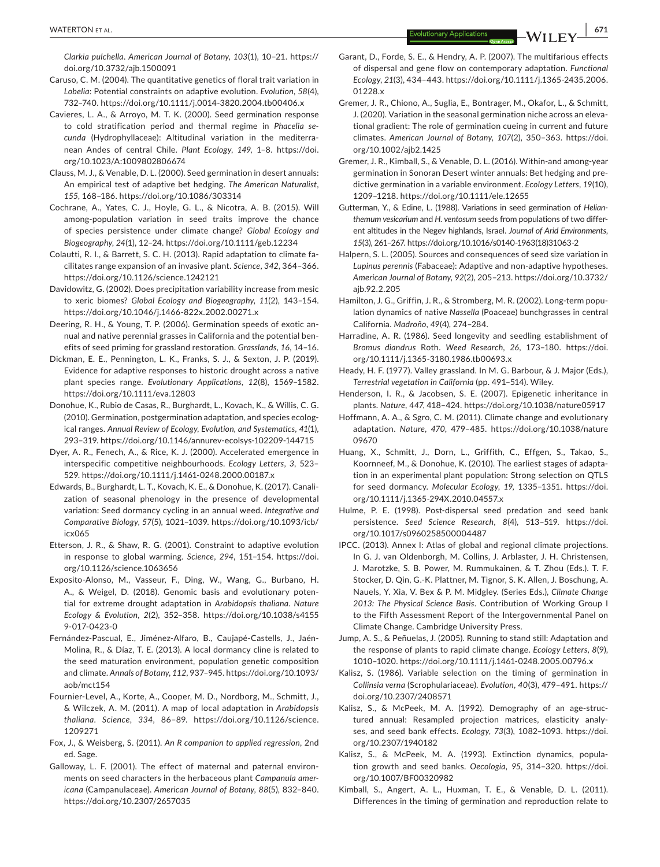*Clarkia pulchella*. *American Journal of Botany*, *103*(1), 10–21. [https://](https://doi.org/10.3732/ajb.1500091) [doi.org/10.3732/ajb.1500091](https://doi.org/10.3732/ajb.1500091)

- Caruso, C. M. (2004). The quantitative genetics of floral trait variation in *Lobelia*: Potential constraints on adaptive evolution. *Evolution*, *58*(4), 732–740. <https://doi.org/10.1111/j.0014-3820.2004.tb00406.x>
- Cavieres, L. A., & Arroyo, M. T. K. (2000). Seed germination response to cold stratification period and thermal regime in *Phacelia secunda* (Hydrophyllaceae): Altitudinal variation in the mediterranean Andes of central Chile. *Plant Ecology*, *149*, 1–8. [https://doi.](https://doi.org/10.1023/A:1009802806674) [org/10.1023/A:1009802806674](https://doi.org/10.1023/A:1009802806674)
- Clauss, M. J., & Venable, D. L. (2000). Seed germination in desert annuals: An empirical test of adaptive bet hedging. *The American Naturalist*, *155*, 168–186. <https://doi.org/10.1086/303314>
- Cochrane, A., Yates, C. J., Hoyle, G. L., & Nicotra, A. B. (2015). Will among-population variation in seed traits improve the chance of species persistence under climate change? *Global Ecology and Biogeography*, *24*(1), 12–24. <https://doi.org/10.1111/geb.12234>
- Colautti, R. I., & Barrett, S. C. H. (2013). Rapid adaptation to climate facilitates range expansion of an invasive plant. *Science*, *342*, 364–366. <https://doi.org/10.1126/science.1242121>
- Davidowitz, G. (2002). Does precipitation variability increase from mesic to xeric biomes? *Global Ecology and Biogeography*, *11*(2), 143–154. <https://doi.org/10.1046/j.1466-822x.2002.00271.x>
- Deering, R. H., & Young, T. P. (2006). Germination speeds of exotic annual and native perennial grasses in California and the potential benefits of seed priming for grassland restoration. *Grasslands*, *16*, 14–16.
- Dickman, E. E., Pennington, L. K., Franks, S. J., & Sexton, J. P. (2019). Evidence for adaptive responses to historic drought across a native plant species range. *Evolutionary Applications*, *12*(8), 1569–1582. <https://doi.org/10.1111/eva.12803>
- Donohue, K., Rubio de Casas, R., Burghardt, L., Kovach, K., & Willis, C. G. (2010). Germination, postgermination adaptation, and species ecological ranges. *Annual Review of Ecology, Evolution, and Systematics*, *41*(1), 293–319. <https://doi.org/10.1146/annurev-ecolsys-102209-144715>
- Dyer, A. R., Fenech, A., & Rice, K. J. (2000). Accelerated emergence in interspecific competitive neighbourhoods. *Ecology Letters*, *3*, 523– 529. <https://doi.org/10.1111/j.1461-0248.2000.00187.x>
- Edwards, B., Burghardt, L. T., Kovach, K. E., & Donohue, K. (2017). Canalization of seasonal phenology in the presence of developmental variation: Seed dormancy cycling in an annual weed. *Integrative and Comparative Biology*, *57*(5), 1021–1039. [https://doi.org/10.1093/icb/](https://doi.org/10.1093/icb/icx065) [icx065](https://doi.org/10.1093/icb/icx065)
- Etterson, J. R., & Shaw, R. G. (2001). Constraint to adaptive evolution in response to global warming. *Science*, *294*, 151–154. [https://doi.](https://doi.org/10.1126/science.1063656) [org/10.1126/science.1063656](https://doi.org/10.1126/science.1063656)
- Exposito-Alonso, M., Vasseur, F., Ding, W., Wang, G., Burbano, H. A., & Weigel, D. (2018). Genomic basis and evolutionary potential for extreme drought adaptation in *Arabidopsis thaliana*. *Nature Ecology & Evolution*, *2*(2), 352–358. [https://doi.org/10.1038/s4155](https://doi.org/10.1038/s41559-017-0423-0) [9-017-0423-0](https://doi.org/10.1038/s41559-017-0423-0)
- Fernández-Pascual, E., Jiménez-Alfaro, B., Caujapé-Castells, J., Jaén-Molina, R., & Díaz, T. E. (2013). A local dormancy cline is related to the seed maturation environment, population genetic composition and climate. *Annals of Botany*, *112*, 937–945. [https://doi.org/10.1093/](https://doi.org/10.1093/aob/mct154) [aob/mct154](https://doi.org/10.1093/aob/mct154)
- Fournier-Level, A., Korte, A., Cooper, M. D., Nordborg, M., Schmitt, J., & Wilczek, A. M. (2011). A map of local adaptation in *Arabidopsis thaliana*. *Science*, *334*, 86–89. [https://doi.org/10.1126/science.](https://doi.org/10.1126/science.1209271) [1209271](https://doi.org/10.1126/science.1209271)
- Fox, J., & Weisberg, S. (2011). *An R companion to applied regression*, 2nd ed. Sage.
- Galloway, L. F. (2001). The effect of maternal and paternal environments on seed characters in the herbaceous plant *Campanula americana* (Campanulaceae). *American Journal of Botany*, *88*(5), 832–840. <https://doi.org/10.2307/2657035>
- Garant, D., Forde, S. E., & Hendry, A. P. (2007). The multifarious effects of dispersal and gene flow on contemporary adaptation. *Functional Ecology*, *21*(3), 434–443. [https://doi.org/10.1111/j.1365-2435.2006.](https://doi.org/10.1111/j.1365-2435.2006.01228.x) [01228.x](https://doi.org/10.1111/j.1365-2435.2006.01228.x)
- Gremer, J. R., Chiono, A., Suglia, E., Bontrager, M., Okafor, L., & Schmitt, J. (2020). Variation in the seasonal germination niche across an elevational gradient: The role of germination cueing in current and future climates. *American Journal of Botany*, *107*(2), 350–363. [https://doi.](https://doi.org/10.1002/ajb2.1425) [org/10.1002/ajb2.1425](https://doi.org/10.1002/ajb2.1425)
- Gremer, J. R., Kimball, S., & Venable, D. L. (2016). Within-and among-year germination in Sonoran Desert winter annuals: Bet hedging and predictive germination in a variable environment. *Ecology Letters*, *19*(10), 1209–1218.<https://doi.org/10.1111/ele.12655>
- Gutterman, Y., & Edine, L. (1988). Variations in seed germination of *Helianthemum vesicarium* and *H. ventosum* seeds from populations of two different altitudes in the Negev highlands, Israel. *Journal of Arid Environments*, *15*(3), 261–267. [https://doi.org/10.1016/s0140-1963\(18\)31063-2](https://doi.org/10.1016/s0140-1963(18)31063-2)
- Halpern, S. L. (2005). Sources and consequences of seed size variation in *Lupinus perennis* (Fabaceae): Adaptive and non-adaptive hypotheses. *American Journal of Botany*, *92*(2), 205–213. [https://doi.org/10.3732/](https://doi.org/10.3732/ajb.92.2.205) [ajb.92.2.205](https://doi.org/10.3732/ajb.92.2.205)
- Hamilton, J. G., Griffin, J. R., & Stromberg, M. R. (2002). Long-term population dynamics of native *Nassella* (Poaceae) bunchgrasses in central California. *Madroño*, *49*(4), 274–284.
- Harradine, A. R. (1986). Seed longevity and seedling establishment of *Bromus diandrus* Roth. *Weed Research*, *26*, 173–180. [https://doi.](https://doi.org/10.1111/j.1365-3180.1986.tb00693.x) [org/10.1111/j.1365-3180.1986.tb00693.x](https://doi.org/10.1111/j.1365-3180.1986.tb00693.x)
- Heady, H. F. (1977). Valley grassland. In M. G. Barbour, & J. Major (Eds.), *Terrestrial vegetation in California* (pp. 491–514). Wiley.
- Henderson, I. R., & Jacobsen, S. E. (2007). Epigenetic inheritance in plants. *Nature*, *447*, 418–424. <https://doi.org/10.1038/nature05917>
- Hoffmann, A. A., & Sgro, C. M. (2011). Climate change and evolutionary adaptation. *Nature*, *470*, 479–485. [https://doi.org/10.1038/nature](https://doi.org/10.1038/nature09670) [09670](https://doi.org/10.1038/nature09670)
- Huang, X., Schmitt, J., Dorn, L., Griffith, C., Effgen, S., Takao, S., Koornneef, M., & Donohue, K. (2010). The earliest stages of adaptation in an experimental plant population: Strong selection on QTLS for seed dormancy. *Molecular Ecology*, *19*, 1335–1351. [https://doi.](https://doi.org/10.1111/j.1365-294X.2010.04557.x) [org/10.1111/j.1365-294X.2010.04557.x](https://doi.org/10.1111/j.1365-294X.2010.04557.x)
- Hulme, P. E. (1998). Post-dispersal seed predation and seed bank persistence. *Seed Science Research*, *8*(4), 513–519. [https://doi.](https://doi.org/10.1017/s0960258500004487) [org/10.1017/s0960258500004487](https://doi.org/10.1017/s0960258500004487)
- IPCC. (2013). Annex I: Atlas of global and regional climate projections. In G. J. van Oldenborgh, M. Collins, J. Arblaster, J. H. Christensen, J. Marotzke, S. B. Power, M. Rummukainen, & T. Zhou (Eds.). T. F. Stocker, D. Qin, G.-K. Plattner, M. Tignor, S. K. Allen, J. Boschung, A. Nauels, Y. Xia, V. Bex & P. M. Midgley. (Series Eds.), *Climate Change 2013: The Physical Science Basis*. Contribution of Working Group I to the Fifth Assessment Report of the Intergovernmental Panel on Climate Change. Cambridge University Press.
- Jump, A. S., & Peñuelas, J. (2005). Running to stand still: Adaptation and the response of plants to rapid climate change. *Ecology Letters*, *8*(9), 1010–1020.<https://doi.org/10.1111/j.1461-0248.2005.00796.x>
- Kalisz, S. (1986). Variable selection on the timing of germination in *Collinsia verna* (Scrophulariaceae). *Evolution*, *40*(3), 479–491. [https://](https://doi.org/10.2307/2408571) [doi.org/10.2307/2408571](https://doi.org/10.2307/2408571)
- Kalisz, S., & McPeek, M. A. (1992). Demography of an age-structured annual: Resampled projection matrices, elasticity analyses, and seed bank effects. *Ecology*, *73*(3), 1082–1093. [https://doi.](https://doi.org/10.2307/1940182) [org/10.2307/1940182](https://doi.org/10.2307/1940182)
- Kalisz, S., & McPeek, M. A. (1993). Extinction dynamics, population growth and seed banks. *Oecologia*, *95*, 314–320. [https://doi.](https://doi.org/10.1007/BF00320982) [org/10.1007/BF00320982](https://doi.org/10.1007/BF00320982)
- Kimball, S., Angert, A. L., Huxman, T. E., & Venable, D. L. (2011). Differences in the timing of germination and reproduction relate to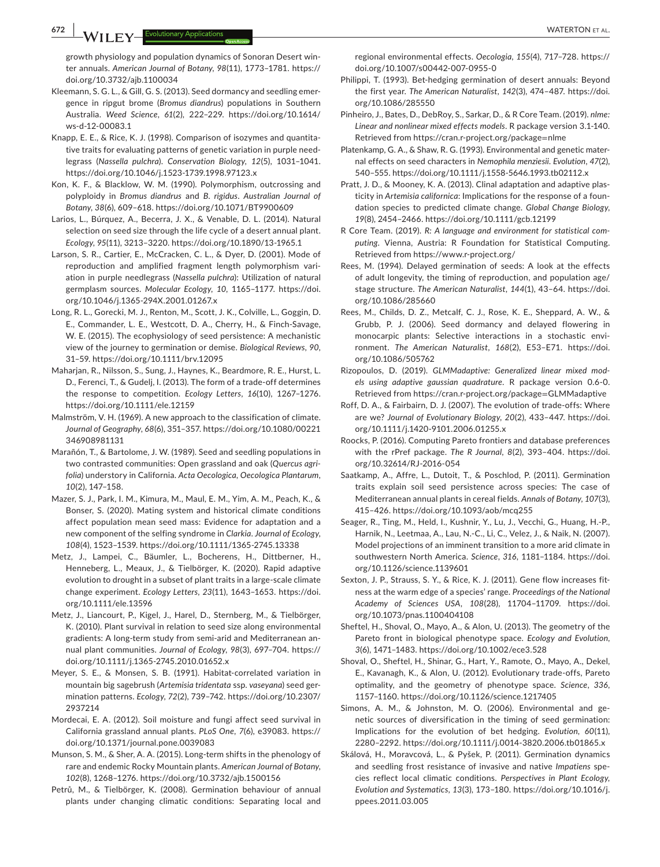**672 |**  WATERTON et al.

growth physiology and population dynamics of Sonoran Desert winter annuals. *American Journal of Botany*, *98*(11), 1773–1781. [https://](https://doi.org/10.3732/ajb.1100034) [doi.org/10.3732/ajb.1100034](https://doi.org/10.3732/ajb.1100034)

- Kleemann, S. G. L., & Gill, G. S. (2013). Seed dormancy and seedling emergence in ripgut brome (*Bromus diandrus*) populations in Southern Australia. *Weed Science*, *61*(2), 222–229. [https://doi.org/10.1614/](https://doi.org/10.1614/ws-d-12-00083.1) [ws-d-12-00083.1](https://doi.org/10.1614/ws-d-12-00083.1)
- Knapp, E. E., & Rice, K. J. (1998). Comparison of isozymes and quantitative traits for evaluating patterns of genetic variation in purple needlegrass (*Nassella pulchra*). *Conservation Biology*, *12*(5), 1031–1041. <https://doi.org/10.1046/j.1523-1739.1998.97123.x>
- Kon, K. F., & Blacklow, W. M. (1990). Polymorphism, outcrossing and polyploidy in *Bromus diandrus* and *B. rigidus*. *Australian Journal of Botany*, *38*(6), 609–618. <https://doi.org/10.1071/BT9900609>
- Larios, L., Búrquez, A., Becerra, J. X., & Venable, D. L. (2014). Natural selection on seed size through the life cycle of a desert annual plant. *Ecology*, *95*(11), 3213–3220.<https://doi.org/10.1890/13-1965.1>
- Larson, S. R., Cartier, E., McCracken, C. L., & Dyer, D. (2001). Mode of reproduction and amplified fragment length polymorphism variation in purple needlegrass (*Nassella pulchra*): Utilization of natural germplasm sources. *Molecular Ecology*, *10*, 1165–1177. [https://doi.](https://doi.org/10.1046/j.1365-294X.2001.01267.x) [org/10.1046/j.1365-294X.2001.01267.x](https://doi.org/10.1046/j.1365-294X.2001.01267.x)
- Long, R. L., Gorecki, M. J., Renton, M., Scott, J. K., Colville, L., Goggin, D. E., Commander, L. E., Westcott, D. A., Cherry, H., & Finch-Savage, W. E. (2015). The ecophysiology of seed persistence: A mechanistic view of the journey to germination or demise. *Biological Reviews*, *90*, 31–59. <https://doi.org/10.1111/brv.12095>
- Maharjan, R., Nilsson, S., Sung, J., Haynes, K., Beardmore, R. E., Hurst, L. D., Ferenci, T., & Gudelj, I. (2013). The form of a trade-off determines the response to competition. *Ecology Letters*, *16*(10), 1267–1276. <https://doi.org/10.1111/ele.12159>
- Malmström, V. H. (1969). A new approach to the classification of climate. *Journal of Geography*, *68*(6), 351–357. [https://doi.org/10.1080/00221](https://doi.org/10.1080/00221346908981131) [346908981131](https://doi.org/10.1080/00221346908981131)
- Marañón, T., & Bartolome, J. W. (1989). Seed and seedling populations in two contrasted communities: Open grassland and oak (*Quercus agrifolia*) understory in California. *Acta Oecologica, Oecologica Plantarum*, *10*(2), 147–158.
- Mazer, S. J., Park, I. M., Kimura, M., Maul, E. M., Yim, A. M., Peach, K., & Bonser, S. (2020). Mating system and historical climate conditions affect population mean seed mass: Evidence for adaptation and a new component of the selfing syndrome in *Clarkia*. *Journal of Ecology*, *108*(4), 1523–1539.<https://doi.org/10.1111/1365-2745.13338>
- Metz, J., Lampei, C., Bäumler, L., Bocherens, H., Dittberner, H., Henneberg, L., Meaux, J., & Tielbörger, K. (2020). Rapid adaptive evolution to drought in a subset of plant traits in a large-scale climate change experiment. *Ecology Letters*, *23*(11), 1643–1653. [https://doi.](https://doi.org/10.1111/ele.13596) [org/10.1111/ele.13596](https://doi.org/10.1111/ele.13596)
- Metz, J., Liancourt, P., Kigel, J., Harel, D., Sternberg, M., & Tielbörger, K. (2010). Plant survival in relation to seed size along environmental gradients: A long-term study from semi-arid and Mediterranean annual plant communities. *Journal of Ecology*, *98*(3), 697–704. [https://](https://doi.org/10.1111/j.1365-2745.2010.01652.x) [doi.org/10.1111/j.1365-2745.2010.01652.x](https://doi.org/10.1111/j.1365-2745.2010.01652.x)
- Meyer, S. E., & Monsen, S. B. (1991). Habitat-correlated variation in mountain big sagebrush (*Artemisia tridentata* ssp. *vaseyana*) seed germination patterns. *Ecology*, *72*(2), 739–742. [https://doi.org/10.2307/](https://doi.org/10.2307/2937214) [2937214](https://doi.org/10.2307/2937214)
- Mordecai, E. A. (2012). Soil moisture and fungi affect seed survival in California grassland annual plants. *PLoS One*, *7*(6), e39083. [https://](https://doi.org/10.1371/journal.pone.0039083) [doi.org/10.1371/journal.pone.0039083](https://doi.org/10.1371/journal.pone.0039083)
- Munson, S. M., & Sher, A. A. (2015). Long-term shifts in the phenology of rare and endemic Rocky Mountain plants. *American Journal of Botany*, *102*(8), 1268–1276. <https://doi.org/10.3732/ajb.1500156>
- Petrů, M., & Tielbörger, K. (2008). Germination behaviour of annual plants under changing climatic conditions: Separating local and

regional environmental effects. *Oecologia*, *155*(4), 717–728. [https://](https://doi.org/10.1007/s00442-007-0955-0) [doi.org/10.1007/s00442-007-0955-0](https://doi.org/10.1007/s00442-007-0955-0)

- Philippi, T. (1993). Bet-hedging germination of desert annuals: Beyond the first year. *The American Naturalist*, *142*(3), 474–487. [https://doi.](https://doi.org/10.1086/285550) [org/10.1086/285550](https://doi.org/10.1086/285550)
- Pinheiro, J., Bates, D., DebRoy, S., Sarkar, D., & R Core Team. (2019). *nlme: Linear and nonlinear mixed effects models*. R package version 3.1-140. Retrieved from [https://cran.r-project.org/package](https://cran.r-project.org/package=nlme)=nlme
- Platenkamp, G. A., & Shaw, R. G. (1993). Environmental and genetic maternal effects on seed characters in *Nemophila menziesii*. *Evolution*, *47*(2), 540–555.<https://doi.org/10.1111/j.1558-5646.1993.tb02112.x>
- Pratt, J. D., & Mooney, K. A. (2013). Clinal adaptation and adaptive plasticity in *Artemisia californica*: Implications for the response of a foundation species to predicted climate change. *Global Change Biology*, *19*(8), 2454–2466. <https://doi.org/10.1111/gcb.12199>
- R Core Team. (2019). *R: A language and environment for statistical computing*. Vienna, Austria: R Foundation for Statistical Computing. Retrieved from<https://www.r-project.org/>
- Rees, M. (1994). Delayed germination of seeds: A look at the effects of adult longevity, the timing of reproduction, and population age/ stage structure. *The American Naturalist*, *144*(1), 43–64. [https://doi.](https://doi.org/10.1086/285660) [org/10.1086/285660](https://doi.org/10.1086/285660)
- Rees, M., Childs, D. Z., Metcalf, C. J., Rose, K. E., Sheppard, A. W., & Grubb, P. J. (2006). Seed dormancy and delayed flowering in monocarpic plants: Selective interactions in a stochastic environment. *The American Naturalist*, *168*(2), E53–E71. [https://doi.](https://doi.org/10.1086/505762) [org/10.1086/505762](https://doi.org/10.1086/505762)
- Rizopoulos, D. (2019). *GLMMadaptive: Generalized linear mixed models using adaptive gaussian quadrature*. R package version 0.6-0. Retrieved from [https://cran.r-project.org/package](https://cran.r-project.org/package=GLMMadaptive)=GLMMadaptive
- Roff, D. A., & Fairbairn, D. J. (2007). The evolution of trade-offs: Where are we? *Journal of Evolutionary Biology*, *20*(2), 433–447. [https://doi.](https://doi.org/10.1111/j.1420-9101.2006.01255.x) [org/10.1111/j.1420-9101.2006.01255.x](https://doi.org/10.1111/j.1420-9101.2006.01255.x)
- Roocks, P. (2016). Computing Pareto frontiers and database preferences with the rPref package. *The R Journal*, *8*(2), 393–404. [https://doi.](https://doi.org/10.32614/RJ-2016-054) [org/10.32614/RJ-2016-054](https://doi.org/10.32614/RJ-2016-054)
- Saatkamp, A., Affre, L., Dutoit, T., & Poschlod, P. (2011). Germination traits explain soil seed persistence across species: The case of Mediterranean annual plants in cereal fields. *Annals of Botany*, *107*(3), 415–426. <https://doi.org/10.1093/aob/mcq255>
- Seager, R., Ting, M., Held, I., Kushnir, Y., Lu, J., Vecchi, G., Huang, H.-P., Harnik, N., Leetmaa, A., Lau, N.-C., Li, C., Velez, J., & Naik, N. (2007). Model projections of an imminent transition to a more arid climate in southwestern North America. *Science*, *316*, 1181–1184. [https://doi.](https://doi.org/10.1126/science.1139601) [org/10.1126/science.1139601](https://doi.org/10.1126/science.1139601)
- Sexton, J. P., Strauss, S. Y., & Rice, K. J. (2011). Gene flow increases fitness at the warm edge of a species' range. *Proceedings of the National Academy of Sciences USA*, *108*(28), 11704–11709. [https://doi.](https://doi.org/10.1073/pnas.1100404108) [org/10.1073/pnas.1100404108](https://doi.org/10.1073/pnas.1100404108)
- Sheftel, H., Shoval, O., Mayo, A., & Alon, U. (2013). The geometry of the Pareto front in biological phenotype space. *Ecology and Evolution*, *3*(6), 1471–1483.<https://doi.org/10.1002/ece3.528>
- Shoval, O., Sheftel, H., Shinar, G., Hart, Y., Ramote, O., Mayo, A., Dekel, E., Kavanagh, K., & Alon, U. (2012). Evolutionary trade-offs, Pareto optimality, and the geometry of phenotype space. *Science*, *336*, 1157–1160.<https://doi.org/10.1126/science.1217405>
- Simons, A. M., & Johnston, M. O. (2006). Environmental and genetic sources of diversification in the timing of seed germination: Implications for the evolution of bet hedging. *Evolution*, *60*(11), 2280–2292. <https://doi.org/10.1111/j.0014-3820.2006.tb01865.x>
- Skálová, H., Moravcová, L., & Pyšek, P. (2011). Germination dynamics and seedling frost resistance of invasive and native *Impatiens* species reflect local climatic conditions. *Perspectives in Plant Ecology, Evolution and Systematics*, *13*(3), 173–180. [https://doi.org/10.1016/j.](https://doi.org/10.1016/j.ppees.2011.03.005) [ppees.2011.03.005](https://doi.org/10.1016/j.ppees.2011.03.005)